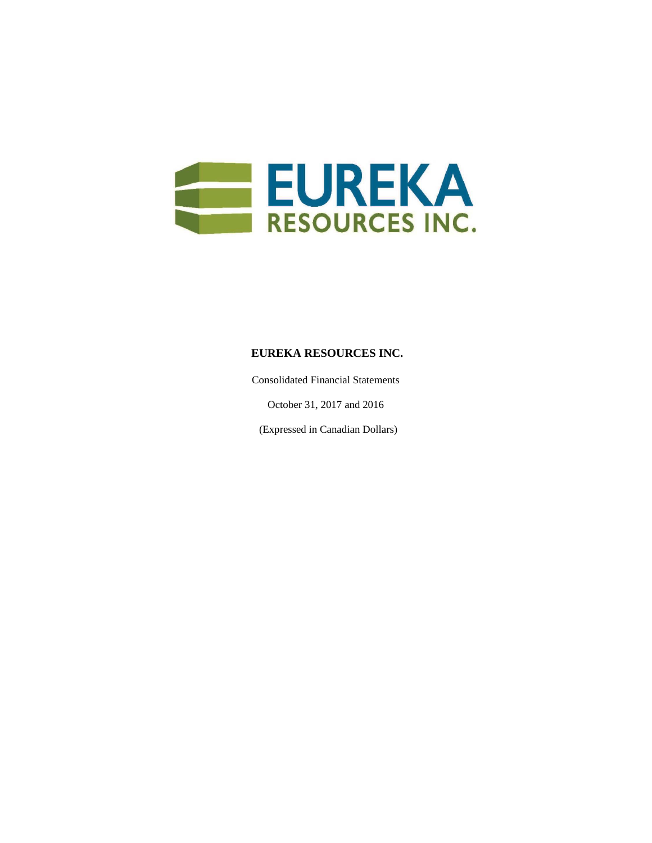

# **EUREKA RESOURCES INC.**

Consolidated Financial Statements

October 31, 2017 and 2016

(Expressed in Canadian Dollars)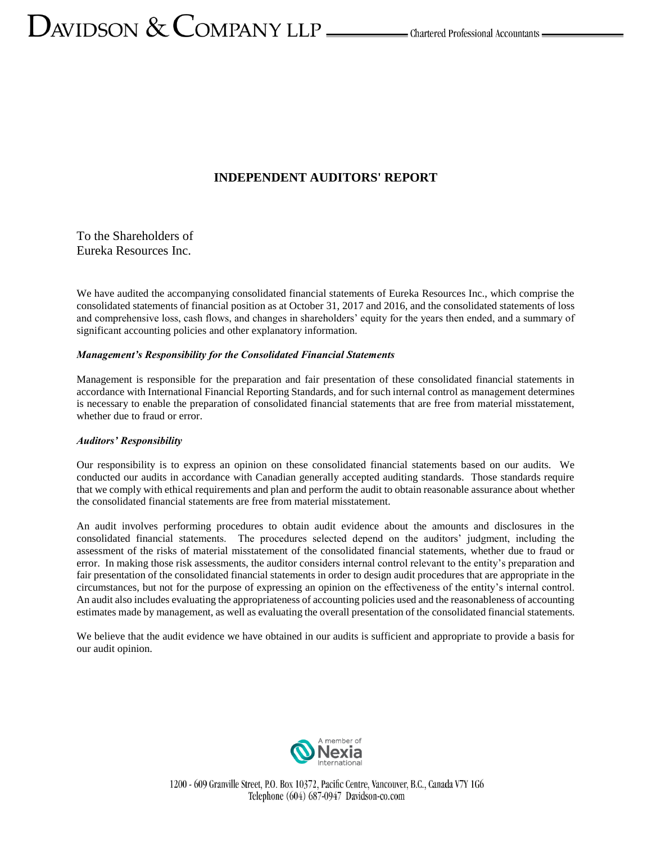# **INDEPENDENT AUDITORS' REPORT**

To the Shareholders of Eureka Resources Inc.

We have audited the accompanying consolidated financial statements of Eureka Resources Inc., which comprise the consolidated statements of financial position as at October 31, 2017 and 2016, and the consolidated statements of loss and comprehensive loss, cash flows, and changes in shareholders' equity for the years then ended, and a summary of significant accounting policies and other explanatory information.

# *Management's Responsibility for the Consolidated Financial Statements*

Management is responsible for the preparation and fair presentation of these consolidated financial statements in accordance with International Financial Reporting Standards, and for such internal control as management determines is necessary to enable the preparation of consolidated financial statements that are free from material misstatement, whether due to fraud or error.

# *Auditors' Responsibility*

Our responsibility is to express an opinion on these consolidated financial statements based on our audits. We conducted our audits in accordance with Canadian generally accepted auditing standards. Those standards require that we comply with ethical requirements and plan and perform the audit to obtain reasonable assurance about whether the consolidated financial statements are free from material misstatement.

An audit involves performing procedures to obtain audit evidence about the amounts and disclosures in the consolidated financial statements. The procedures selected depend on the auditors' judgment, including the assessment of the risks of material misstatement of the consolidated financial statements, whether due to fraud or error. In making those risk assessments, the auditor considers internal control relevant to the entity's preparation and fair presentation of the consolidated financial statements in order to design audit procedures that are appropriate in the circumstances, but not for the purpose of expressing an opinion on the effectiveness of the entity's internal control. An audit also includes evaluating the appropriateness of accounting policies used and the reasonableness of accounting estimates made by management, as well as evaluating the overall presentation of the consolidated financial statements.

We believe that the audit evidence we have obtained in our audits is sufficient and appropriate to provide a basis for our audit opinion.



1200 - 609 Granville Street, P.O. Box 10372, Pacific Centre, Vancouver, B.C., Canada V7Y 1G6 Telephone (604) 687-0947 Davidson-co.com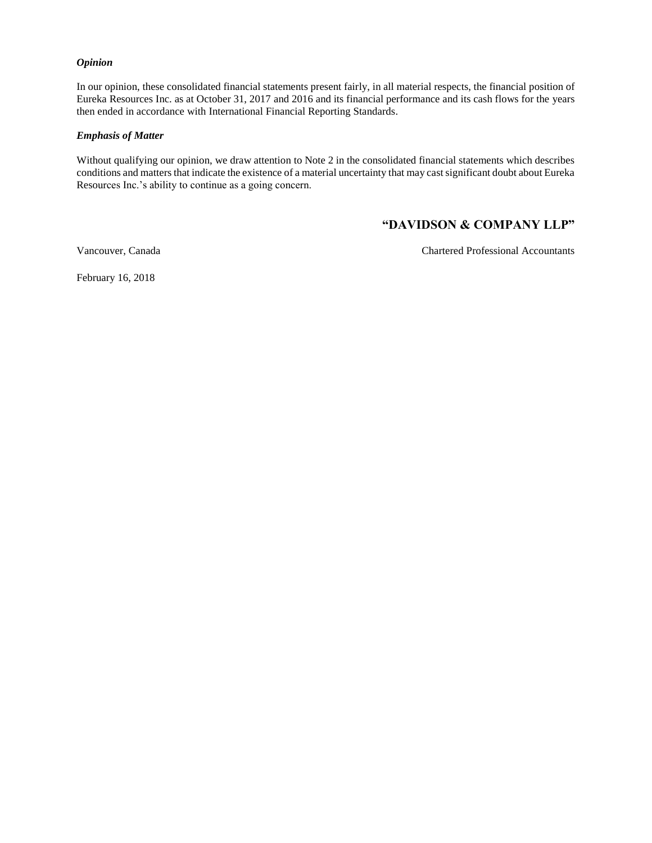# *Opinion*

In our opinion, these consolidated financial statements present fairly, in all material respects, the financial position of Eureka Resources Inc. as at October 31, 2017 and 2016 and its financial performance and its cash flows for the years then ended in accordance with International Financial Reporting Standards.

# *Emphasis of Matter*

Without qualifying our opinion, we draw attention to Note 2 in the consolidated financial statements which describes conditions and matters that indicate the existence of a material uncertainty that may cast significant doubt about Eureka Resources Inc.'s ability to continue as a going concern.

# **"DAVIDSON & COMPANY LLP"**

Vancouver, Canada Chartered Professional Accountants

February 16, 2018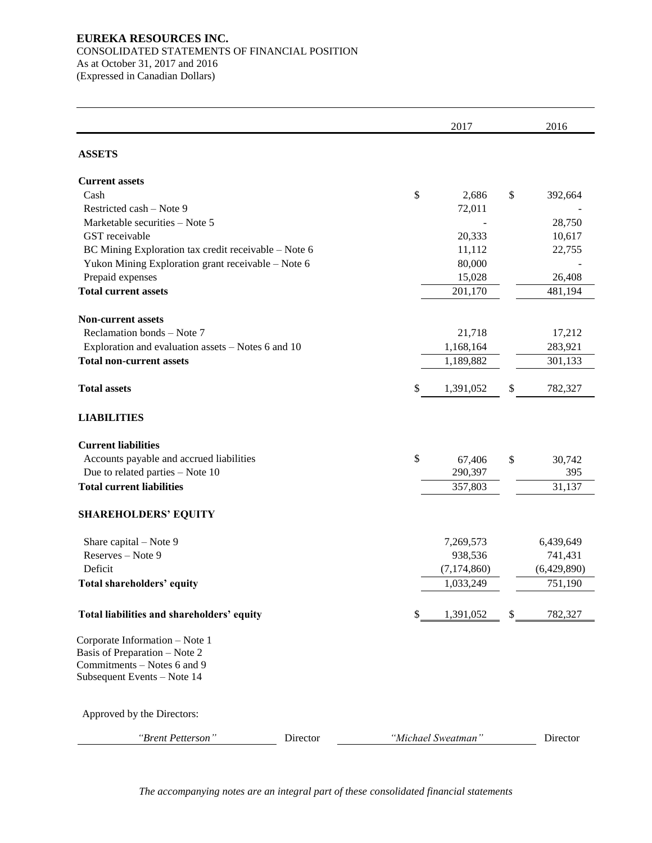# **EUREKA RESOURCES INC.** CONSOLIDATED STATEMENTS OF FINANCIAL POSITION As at October 31, 2017 and 2016 (Expressed in Canadian Dollars)

|                                                                                                                               |          | 2017               |    | 2016        |
|-------------------------------------------------------------------------------------------------------------------------------|----------|--------------------|----|-------------|
| <b>ASSETS</b>                                                                                                                 |          |                    |    |             |
| <b>Current assets</b>                                                                                                         |          |                    |    |             |
| Cash                                                                                                                          |          | \$<br>2,686        | \$ | 392,664     |
| Restricted cash – Note 9                                                                                                      |          | 72,011             |    |             |
| Marketable securities – Note 5                                                                                                |          |                    |    | 28,750      |
| GST receivable                                                                                                                |          | 20,333             |    | 10,617      |
| BC Mining Exploration tax credit receivable - Note 6                                                                          |          | 11,112             |    | 22,755      |
| Yukon Mining Exploration grant receivable - Note 6                                                                            |          | 80,000             |    |             |
| Prepaid expenses                                                                                                              |          | 15,028             |    | 26,408      |
| <b>Total current assets</b>                                                                                                   |          | 201,170            |    | 481,194     |
| <b>Non-current assets</b>                                                                                                     |          |                    |    |             |
| Reclamation bonds - Note 7                                                                                                    |          | 21,718             |    | 17,212      |
| Exploration and evaluation assets - Notes 6 and 10                                                                            |          | 1,168,164          |    | 283,921     |
| <b>Total non-current assets</b>                                                                                               |          | 1,189,882          |    | 301,133     |
| <b>Total assets</b>                                                                                                           |          | \$<br>1,391,052    | \$ | 782,327     |
| <b>LIABILITIES</b>                                                                                                            |          |                    |    |             |
| <b>Current liabilities</b>                                                                                                    |          |                    |    |             |
| Accounts payable and accrued liabilities                                                                                      |          | \$<br>67,406       | \$ | 30,742      |
| Due to related parties - Note 10                                                                                              |          | 290,397            |    | 395         |
| <b>Total current liabilities</b>                                                                                              |          | 357,803            |    | 31,137      |
| <b>SHAREHOLDERS' EQUITY</b>                                                                                                   |          |                    |    |             |
| Share capital - Note 9                                                                                                        |          | 7,269,573          |    | 6,439,649   |
| Reserves – Note 9                                                                                                             |          | 938,536            |    | 741,431     |
| Deficit                                                                                                                       |          | (7, 174, 860)      |    | (6,429,890) |
| Total shareholders' equity                                                                                                    |          | 1,033,249          |    | 751,190     |
| Total liabilities and shareholders' equity                                                                                    |          | \$<br>1,391,052    | S  | 782,327     |
| Corporate Information - Note 1<br>Basis of Preparation – Note 2<br>Commitments - Notes 6 and 9<br>Subsequent Events - Note 14 |          |                    |    |             |
| Approved by the Directors:                                                                                                    |          |                    |    |             |
| "Brent Petterson"                                                                                                             | Director | "Michael Sweatman" |    | Director    |

*The accompanying notes are an integral part of these consolidated financial statements*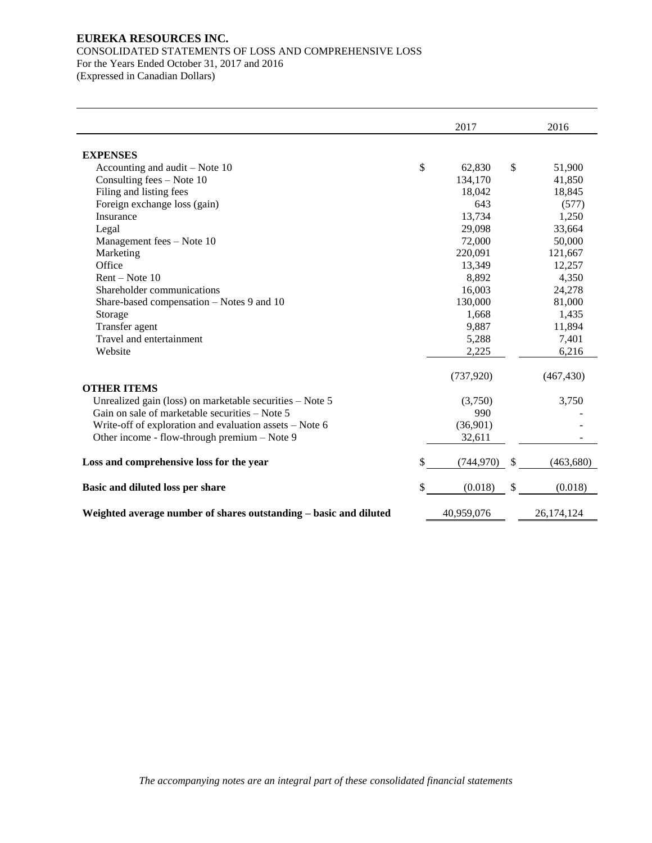# **EUREKA RESOURCES INC.** CONSOLIDATED STATEMENTS OF LOSS AND COMPREHENSIVE LOSS For the Years Ended October 31, 2017 and 2016

(Expressed in Canadian Dollars)

|                                                                   |      | 2017            | 2016       |
|-------------------------------------------------------------------|------|-----------------|------------|
| <b>EXPENSES</b>                                                   |      |                 |            |
| Accounting and audit $-$ Note 10                                  | $\$$ | \$<br>62,830    | 51,900     |
| Consulting fees $-$ Note 10                                       |      | 134,170         | 41,850     |
| Filing and listing fees                                           |      | 18.042          | 18,845     |
| Foreign exchange loss (gain)                                      |      | 643             | (577)      |
| Insurance                                                         |      | 13,734          | 1,250      |
| Legal                                                             |      | 29,098          | 33,664     |
| Management fees - Note 10                                         |      | 72,000          | 50,000     |
| Marketing                                                         |      | 220,091         | 121,667    |
| Office                                                            |      | 13.349          | 12,257     |
| $Rent - Note 10$                                                  |      | 8,892           | 4,350      |
| Shareholder communications                                        |      | 16,003          | 24,278     |
| Share-based compensation – Notes 9 and 10                         |      | 130,000         | 81,000     |
| Storage                                                           |      | 1,668           | 1,435      |
| Transfer agent                                                    |      | 9,887           | 11,894     |
| Travel and entertainment                                          |      | 5,288           | 7,401      |
| Website                                                           |      | 2,225           | 6,216      |
| <b>OTHER ITEMS</b>                                                |      | (737,920)       | (467, 430) |
| Unrealized gain (loss) on marketable securities – Note 5          |      | (3,750)         | 3,750      |
| Gain on sale of marketable securities – Note 5                    |      | 990             |            |
| Write-off of exploration and evaluation assets - Note 6           |      | (36,901)        |            |
| Other income - flow-through premium - Note 9                      |      | 32,611          |            |
| Loss and comprehensive loss for the year                          | \$   | (744, 970)<br>S | (463,680)  |
| Basic and diluted loss per share                                  | \$   | \$<br>(0.018)   | (0.018)    |
| Weighted average number of shares outstanding - basic and diluted |      | 40,959,076      | 26,174,124 |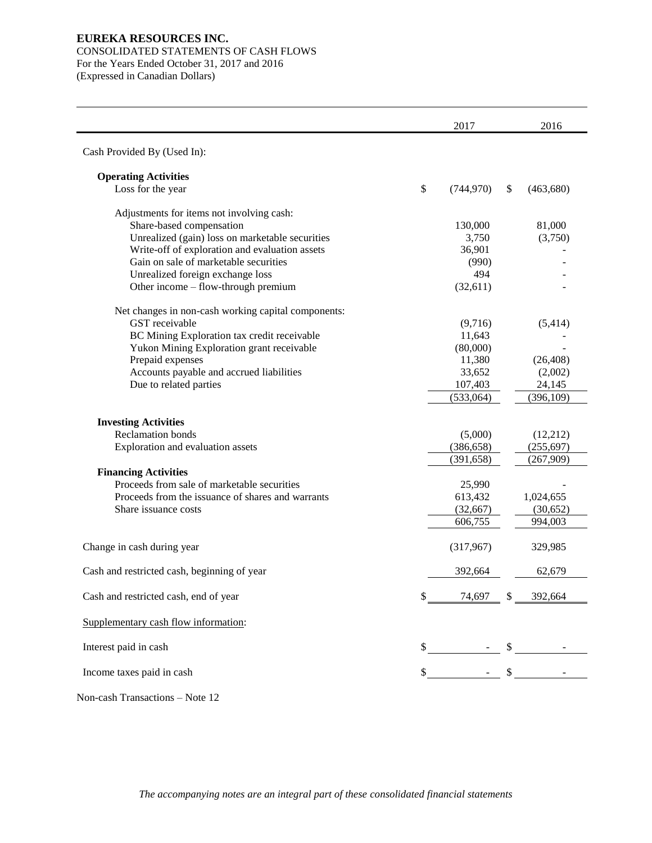# **EUREKA RESOURCES INC.**

CONSOLIDATED STATEMENTS OF CASH FLOWS For the Years Ended October 31, 2017 and 2016 (Expressed in Canadian Dollars)

|                                                                            | 2017             | 2016                                                                                                                                                                                                                                                                                                                                                                 |
|----------------------------------------------------------------------------|------------------|----------------------------------------------------------------------------------------------------------------------------------------------------------------------------------------------------------------------------------------------------------------------------------------------------------------------------------------------------------------------|
| Cash Provided By (Used In):                                                |                  |                                                                                                                                                                                                                                                                                                                                                                      |
| <b>Operating Activities</b>                                                |                  |                                                                                                                                                                                                                                                                                                                                                                      |
| Loss for the year                                                          | \$<br>(744, 970) | \$<br>(463,680)                                                                                                                                                                                                                                                                                                                                                      |
| Adjustments for items not involving cash:                                  |                  |                                                                                                                                                                                                                                                                                                                                                                      |
| Share-based compensation                                                   | 130,000          | 81,000                                                                                                                                                                                                                                                                                                                                                               |
| Unrealized (gain) loss on marketable securities                            | 3,750            | (3,750)                                                                                                                                                                                                                                                                                                                                                              |
| Write-off of exploration and evaluation assets                             | 36,901           |                                                                                                                                                                                                                                                                                                                                                                      |
| Gain on sale of marketable securities                                      | (990)            |                                                                                                                                                                                                                                                                                                                                                                      |
| Unrealized foreign exchange loss                                           | 494              |                                                                                                                                                                                                                                                                                                                                                                      |
| Other income – flow-through premium                                        | (32,611)         |                                                                                                                                                                                                                                                                                                                                                                      |
| Net changes in non-cash working capital components:                        |                  |                                                                                                                                                                                                                                                                                                                                                                      |
| GST receivable                                                             | (9,716)          | (5,414)                                                                                                                                                                                                                                                                                                                                                              |
| BC Mining Exploration tax credit receivable                                | 11,643           |                                                                                                                                                                                                                                                                                                                                                                      |
| Yukon Mining Exploration grant receivable                                  | (80,000)         |                                                                                                                                                                                                                                                                                                                                                                      |
| Prepaid expenses                                                           | 11,380           | (26, 408)                                                                                                                                                                                                                                                                                                                                                            |
| Accounts payable and accrued liabilities                                   | 33,652           | (2,002)                                                                                                                                                                                                                                                                                                                                                              |
| Due to related parties                                                     | 107,403          | 24,145                                                                                                                                                                                                                                                                                                                                                               |
|                                                                            | (533,064)        | (396, 109)                                                                                                                                                                                                                                                                                                                                                           |
| <b>Investing Activities</b>                                                |                  |                                                                                                                                                                                                                                                                                                                                                                      |
| Reclamation bonds                                                          | (5,000)          | (12,212)                                                                                                                                                                                                                                                                                                                                                             |
| Exploration and evaluation assets                                          | (386, 658)       | (255, 697)                                                                                                                                                                                                                                                                                                                                                           |
|                                                                            |                  |                                                                                                                                                                                                                                                                                                                                                                      |
|                                                                            | (391, 658)       | (267,909)                                                                                                                                                                                                                                                                                                                                                            |
| <b>Financing Activities</b><br>Proceeds from sale of marketable securities |                  |                                                                                                                                                                                                                                                                                                                                                                      |
|                                                                            | 25,990           |                                                                                                                                                                                                                                                                                                                                                                      |
| Proceeds from the issuance of shares and warrants                          | 613,432          | 1,024,655                                                                                                                                                                                                                                                                                                                                                            |
| Share issuance costs                                                       | (32, 667)        | (30,652)                                                                                                                                                                                                                                                                                                                                                             |
|                                                                            | 606,755          | 994,003                                                                                                                                                                                                                                                                                                                                                              |
| Change in cash during year                                                 | (317,967)        | 329,985                                                                                                                                                                                                                                                                                                                                                              |
| Cash and restricted cash, beginning of year                                | 392,664          | 62,679                                                                                                                                                                                                                                                                                                                                                               |
| Cash and restricted cash, end of year                                      | \$               | 74,697 \$ 392,664                                                                                                                                                                                                                                                                                                                                                    |
| Supplementary cash flow information:                                       |                  |                                                                                                                                                                                                                                                                                                                                                                      |
| Interest paid in cash                                                      |                  | $\frac{\sqrt{2}}{2}$ $\frac{\sqrt{2}}{2}$ $\frac{\sqrt{2}}{2}$ $\frac{\sqrt{2}}{2}$ $\frac{\sqrt{2}}{2}$ $\frac{\sqrt{2}}{2}$ $\frac{\sqrt{2}}{2}$ $\frac{\sqrt{2}}{2}$ $\frac{\sqrt{2}}{2}$ $\frac{\sqrt{2}}{2}$ $\frac{\sqrt{2}}{2}$ $\frac{\sqrt{2}}{2}$ $\frac{\sqrt{2}}{2}$ $\frac{\sqrt{2}}{2}$ $\frac{\sqrt{2}}{2}$ $\frac{\sqrt{2}}{2}$ $\frac{\sqrt{2}}{2}$ |
| Income taxes paid in cash                                                  |                  | $\frac{\sqrt{25}}{25}$ $\frac{\sqrt{25}}{25}$ $\frac{\sqrt{25}}{25}$ $\frac{\sqrt{25}}{25}$                                                                                                                                                                                                                                                                          |
|                                                                            |                  |                                                                                                                                                                                                                                                                                                                                                                      |

Non-cash Transactions – Note 12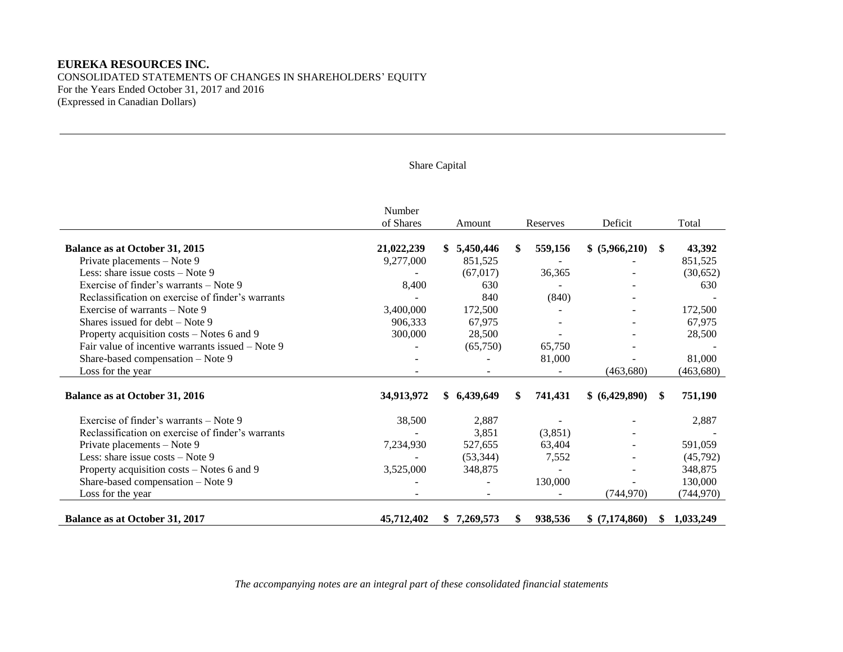# **EUREKA RESOURCES INC.** CONSOLIDATED STATEMENTS OF CHANGES IN SHAREHOLDERS' EQUITY For the Years Ended October 31, 2017 and 2016 (Expressed in Canadian Dollars)

# Share Capital

|                                                   | Number     |                  |              |                |                |
|---------------------------------------------------|------------|------------------|--------------|----------------|----------------|
|                                                   | of Shares  | Amount           | Reserves     | Deficit        | Total          |
| Balance as at October 31, 2015                    | 21,022,239 | 5,450,446<br>SS. | 559,156<br>S | \$ (5,966,210) | 43,392<br>S    |
| Private placements – Note 9                       | 9,277,000  | 851,525          |              |                | 851,525        |
| Less: share issue $costs - Note9$                 |            | (67, 017)        | 36,365       |                | (30,652)       |
| Exercise of finder's warrants – Note 9            | 8,400      | 630              |              |                | 630            |
| Reclassification on exercise of finder's warrants |            | 840              | (840)        |                |                |
| Exercise of warrants - Note 9                     | 3,400,000  | 172,500          |              |                | 172,500        |
| Shares issued for debt - Note 9                   | 906,333    | 67,975           |              |                | 67,975         |
| Property acquisition costs – Notes 6 and 9        | 300,000    | 28,500           |              |                | 28,500         |
| Fair value of incentive warrants issued – Note 9  |            | (65,750)         | 65,750       |                |                |
| Share-based compensation – Note 9                 |            |                  | 81,000       |                | 81,000         |
| Loss for the year                                 |            |                  |              | (463,680)      | (463,680)      |
| <b>Balance as at October 31, 2016</b>             | 34,913,972 | \$6,439,649      | 741,431<br>S | \$ (6,429,890) | 751,190<br>S   |
| Exercise of finder's warrants – Note 9            | 38,500     | 2,887            |              |                | 2,887          |
| Reclassification on exercise of finder's warrants |            | 3,851            | (3,851)      |                |                |
| Private placements - Note 9                       | 7,234,930  | 527,655          | 63,404       |                | 591,059        |
| Less: share issue $costs - Note9$                 |            | (53, 344)        | 7,552        |                | (45,792)       |
| Property acquisition costs – Notes 6 and 9        | 3,525,000  | 348,875          |              |                | 348,875        |
| Share-based compensation - Note 9                 |            |                  | 130,000      |                | 130,000        |
| Loss for the year                                 |            |                  |              | (744, 970)     | (744, 970)     |
| Balance as at October 31, 2017                    | 45,712,402 | \$7,269,573      | 938,536<br>S | \$(7,174,860)  | 1,033,249<br>S |

*The accompanying notes are an integral part of these consolidated financial statements*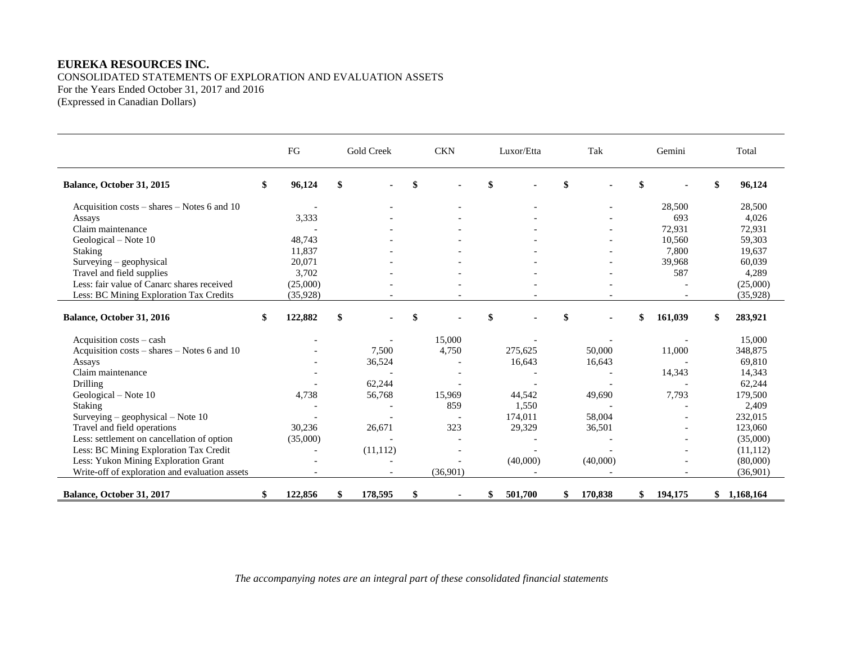# **EUREKA RESOURCES INC.**

CONSOLIDATED STATEMENTS OF EXPLORATION AND EVALUATION ASSETS

For the Years Ended October 31, 2017 and 2016

(Expressed in Canadian Dollars)

|                                                | FG                       | <b>Gold Creek</b> | <b>CKN</b> | Luxor/Etta    | Tak           | Gemini        | Total         |
|------------------------------------------------|--------------------------|-------------------|------------|---------------|---------------|---------------|---------------|
| Balance, October 31, 2015                      | \$<br>96,124             | \$                | \$         |               | \$            |               | 96,124        |
| Acquisition costs - shares - Notes 6 and 10    | $\overline{\phantom{a}}$ |                   |            |               |               | 28,500        | 28,500        |
| Assays                                         | 3,333                    |                   |            |               |               | 693           | 4,026         |
| Claim maintenance                              |                          |                   |            |               |               | 72,931        | 72,931        |
| Geological – Note 10                           | 48,743                   |                   |            |               |               | 10,560        | 59,303        |
| Staking                                        | 11,837                   |                   |            |               |               | 7,800         | 19,637        |
| $Surveving - geophysical$                      | 20,071                   |                   |            |               |               | 39,968        | 60,039        |
| Travel and field supplies                      | 3,702                    |                   |            |               |               | 587           | 4,289         |
| Less: fair value of Canarc shares received     | (25,000)                 |                   |            |               |               |               | (25,000)      |
| Less: BC Mining Exploration Tax Credits        | (35,928)                 |                   |            |               |               |               | (35,928)      |
| Balance, October 31, 2016                      | \$<br>122,882            | \$                | \$         | \$            | \$            | 161,039       | \$<br>283,921 |
| Acquisition costs - cash                       |                          |                   | 15,000     |               |               |               | 15,000        |
| Acquisition costs – shares – Notes 6 and 10    |                          | 7,500             | 4,750      | 275,625       | 50,000        | 11,000        | 348,875       |
| Assays                                         |                          | 36,524            |            | 16,643        | 16,643        |               | 69,810        |
| Claim maintenance                              |                          |                   |            |               |               | 14,343        | 14,343        |
| Drilling                                       |                          | 62,244            |            |               |               |               | 62,244        |
| Geological - Note 10                           | 4,738                    | 56,768            | 15,969     | 44,542        | 49,690        | 7,793         | 179,500       |
| Staking                                        |                          |                   | 859        | 1,550         |               |               | 2,409         |
| Surveying - geophysical - Note 10              |                          |                   |            | 174,011       | 58,004        |               | 232,015       |
| Travel and field operations                    | 30,236                   | 26,671            | 323        | 29,329        | 36,501        |               | 123,060       |
| Less: settlement on cancellation of option     | (35,000)                 |                   |            |               |               |               | (35,000)      |
| Less: BC Mining Exploration Tax Credit         | $\overline{\phantom{a}}$ | (11, 112)         |            |               |               |               | (11, 112)     |
| Less: Yukon Mining Exploration Grant           |                          |                   |            | (40,000)      | (40,000)      |               | (80,000)      |
| Write-off of exploration and evaluation assets |                          |                   | (36,901)   |               |               |               | (36,901)      |
| Balance, October 31, 2017                      | \$<br>122,856            | \$<br>178,595     | \$         | \$<br>501,700 | \$<br>170,838 | \$<br>194,175 | \$1,168,164   |

*The accompanying notes are an integral part of these consolidated financial statements*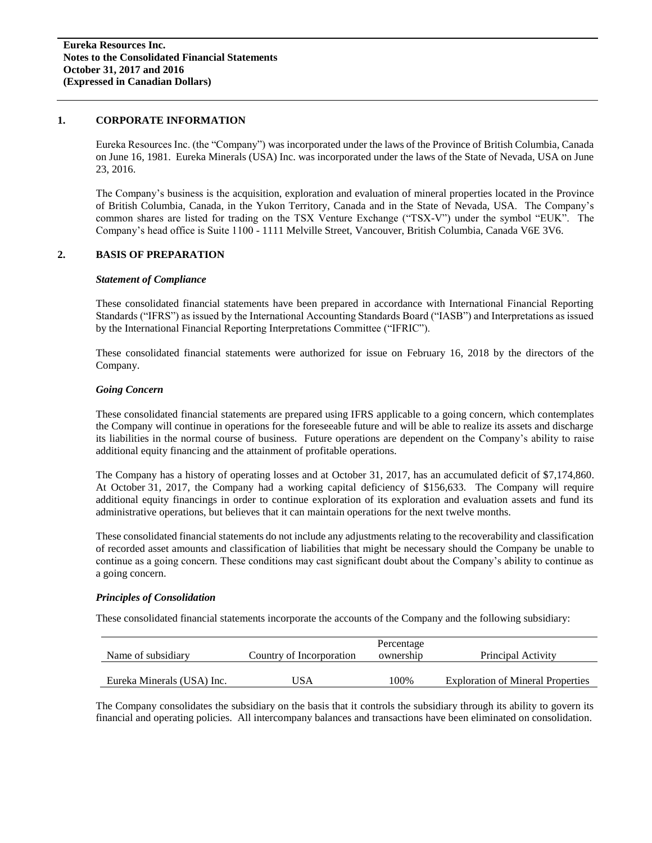# **1. CORPORATE INFORMATION**

Eureka Resources Inc. (the "Company") was incorporated under the laws of the Province of British Columbia, Canada on June 16, 1981. Eureka Minerals (USA) Inc. was incorporated under the laws of the State of Nevada, USA on June 23, 2016.

The Company's business is the acquisition, exploration and evaluation of mineral properties located in the Province of British Columbia, Canada, in the Yukon Territory, Canada and in the State of Nevada, USA. The Company's common shares are listed for trading on the TSX Venture Exchange ("TSX-V") under the symbol "EUK". The Company's head office is Suite 1100 - 1111 Melville Street, Vancouver, British Columbia, Canada V6E 3V6.

# **2. BASIS OF PREPARATION**

# *Statement of Compliance*

These consolidated financial statements have been prepared in accordance with International Financial Reporting Standards ("IFRS") as issued by the International Accounting Standards Board ("IASB") and Interpretations as issued by the International Financial Reporting Interpretations Committee ("IFRIC").

These consolidated financial statements were authorized for issue on February 16, 2018 by the directors of the Company.

#### *Going Concern*

These consolidated financial statements are prepared using IFRS applicable to a going concern, which contemplates the Company will continue in operations for the foreseeable future and will be able to realize its assets and discharge its liabilities in the normal course of business. Future operations are dependent on the Company's ability to raise additional equity financing and the attainment of profitable operations.

The Company has a history of operating losses and at October 31, 2017, has an accumulated deficit of \$7,174,860. At October 31, 2017, the Company had a working capital deficiency of \$156,633. The Company will require additional equity financings in order to continue exploration of its exploration and evaluation assets and fund its administrative operations, but believes that it can maintain operations for the next twelve months.

These consolidated financial statements do not include any adjustments relating to the recoverability and classification of recorded asset amounts and classification of liabilities that might be necessary should the Company be unable to continue as a going concern. These conditions may cast significant doubt about the Company's ability to continue as a going concern.

# *Principles of Consolidation*

These consolidated financial statements incorporate the accounts of the Company and the following subsidiary:

| Name of subsidiary         | Country of Incorporation | Percentage<br>ownership | Principal Activity                       |  |
|----------------------------|--------------------------|-------------------------|------------------------------------------|--|
| Eureka Minerals (USA) Inc. | JSA                      | 100%                    | <b>Exploration of Mineral Properties</b> |  |

The Company consolidates the subsidiary on the basis that it controls the subsidiary through its ability to govern its financial and operating policies. All intercompany balances and transactions have been eliminated on consolidation.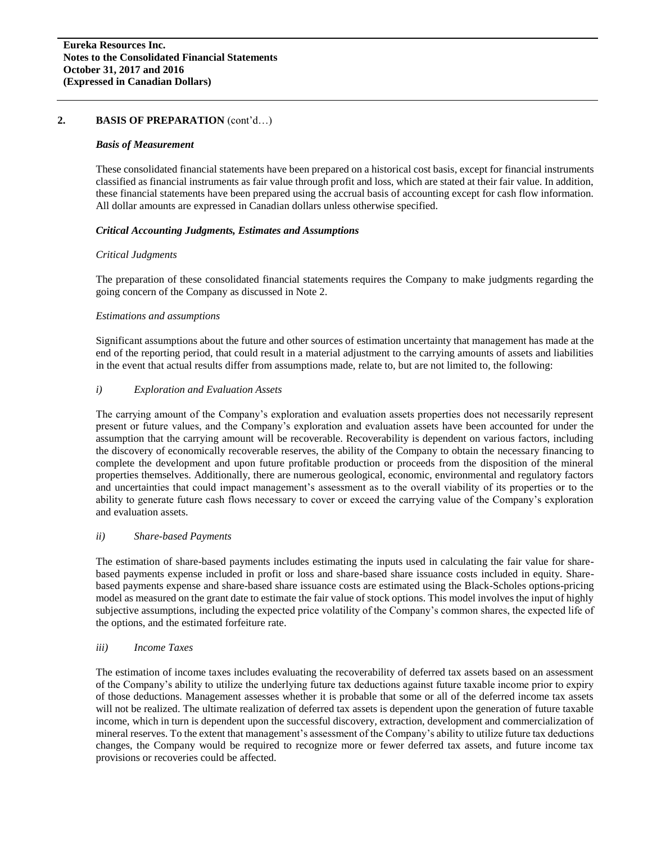# **2. BASIS OF PREPARATION** (cont'd…)

### *Basis of Measurement*

These consolidated financial statements have been prepared on a historical cost basis, except for financial instruments classified as financial instruments as fair value through profit and loss, which are stated at their fair value. In addition, these financial statements have been prepared using the accrual basis of accounting except for cash flow information. All dollar amounts are expressed in Canadian dollars unless otherwise specified.

# *Critical Accounting Judgments, Estimates and Assumptions*

# *Critical Judgments*

The preparation of these consolidated financial statements requires the Company to make judgments regarding the going concern of the Company as discussed in Note 2.

# *Estimations and assumptions*

Significant assumptions about the future and other sources of estimation uncertainty that management has made at the end of the reporting period, that could result in a material adjustment to the carrying amounts of assets and liabilities in the event that actual results differ from assumptions made, relate to, but are not limited to, the following:

# *i) Exploration and Evaluation Assets*

The carrying amount of the Company's exploration and evaluation assets properties does not necessarily represent present or future values, and the Company's exploration and evaluation assets have been accounted for under the assumption that the carrying amount will be recoverable. Recoverability is dependent on various factors, including the discovery of economically recoverable reserves, the ability of the Company to obtain the necessary financing to complete the development and upon future profitable production or proceeds from the disposition of the mineral properties themselves. Additionally, there are numerous geological, economic, environmental and regulatory factors and uncertainties that could impact management's assessment as to the overall viability of its properties or to the ability to generate future cash flows necessary to cover or exceed the carrying value of the Company's exploration and evaluation assets.

# *ii) Share-based Payments*

The estimation of share-based payments includes estimating the inputs used in calculating the fair value for sharebased payments expense included in profit or loss and share-based share issuance costs included in equity. Sharebased payments expense and share-based share issuance costs are estimated using the Black-Scholes options-pricing model as measured on the grant date to estimate the fair value of stock options. This model involves the input of highly subjective assumptions, including the expected price volatility of the Company's common shares, the expected life of the options, and the estimated forfeiture rate.

# *iii) Income Taxes*

The estimation of income taxes includes evaluating the recoverability of deferred tax assets based on an assessment of the Company's ability to utilize the underlying future tax deductions against future taxable income prior to expiry of those deductions. Management assesses whether it is probable that some or all of the deferred income tax assets will not be realized. The ultimate realization of deferred tax assets is dependent upon the generation of future taxable income, which in turn is dependent upon the successful discovery, extraction, development and commercialization of mineral reserves. To the extent that management's assessment of the Company's ability to utilize future tax deductions changes, the Company would be required to recognize more or fewer deferred tax assets, and future income tax provisions or recoveries could be affected.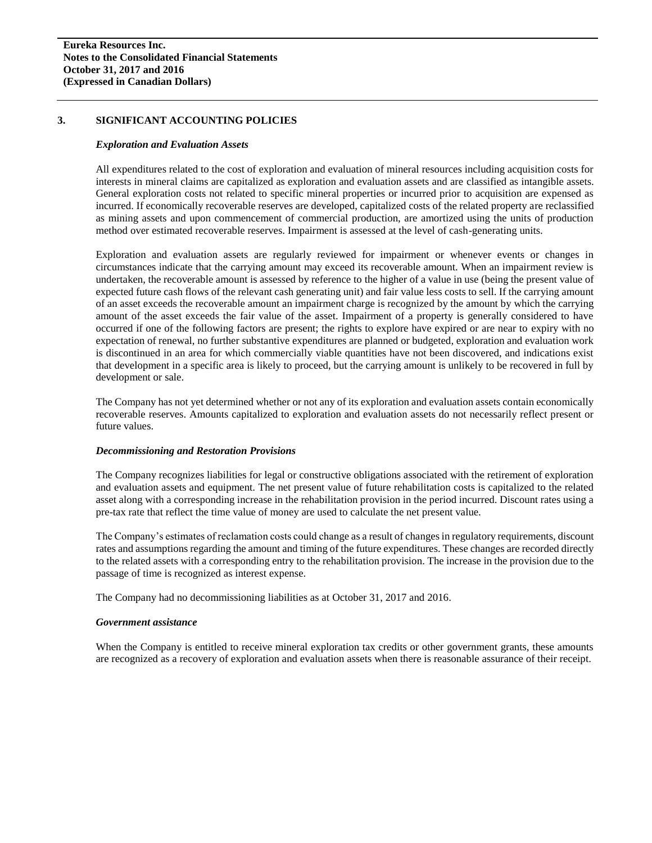# **3. SIGNIFICANT ACCOUNTING POLICIES**

### *Exploration and Evaluation Assets*

All expenditures related to the cost of exploration and evaluation of mineral resources including acquisition costs for interests in mineral claims are capitalized as exploration and evaluation assets and are classified as intangible assets. General exploration costs not related to specific mineral properties or incurred prior to acquisition are expensed as incurred. If economically recoverable reserves are developed, capitalized costs of the related property are reclassified as mining assets and upon commencement of commercial production, are amortized using the units of production method over estimated recoverable reserves. Impairment is assessed at the level of cash-generating units.

Exploration and evaluation assets are regularly reviewed for impairment or whenever events or changes in circumstances indicate that the carrying amount may exceed its recoverable amount. When an impairment review is undertaken, the recoverable amount is assessed by reference to the higher of a value in use (being the present value of expected future cash flows of the relevant cash generating unit) and fair value less costs to sell. If the carrying amount of an asset exceeds the recoverable amount an impairment charge is recognized by the amount by which the carrying amount of the asset exceeds the fair value of the asset. Impairment of a property is generally considered to have occurred if one of the following factors are present; the rights to explore have expired or are near to expiry with no expectation of renewal, no further substantive expenditures are planned or budgeted, exploration and evaluation work is discontinued in an area for which commercially viable quantities have not been discovered, and indications exist that development in a specific area is likely to proceed, but the carrying amount is unlikely to be recovered in full by development or sale.

The Company has not yet determined whether or not any of its exploration and evaluation assets contain economically recoverable reserves. Amounts capitalized to exploration and evaluation assets do not necessarily reflect present or future values.

# *Decommissioning and Restoration Provisions*

The Company recognizes liabilities for legal or constructive obligations associated with the retirement of exploration and evaluation assets and equipment. The net present value of future rehabilitation costs is capitalized to the related asset along with a corresponding increase in the rehabilitation provision in the period incurred. Discount rates using a pre-tax rate that reflect the time value of money are used to calculate the net present value.

The Company's estimates of reclamation costs could change as a result of changes in regulatory requirements, discount rates and assumptions regarding the amount and timing of the future expenditures. These changes are recorded directly to the related assets with a corresponding entry to the rehabilitation provision. The increase in the provision due to the passage of time is recognized as interest expense.

The Company had no decommissioning liabilities as at October 31, 2017 and 2016.

#### *Government assistance*

When the Company is entitled to receive mineral exploration tax credits or other government grants, these amounts are recognized as a recovery of exploration and evaluation assets when there is reasonable assurance of their receipt.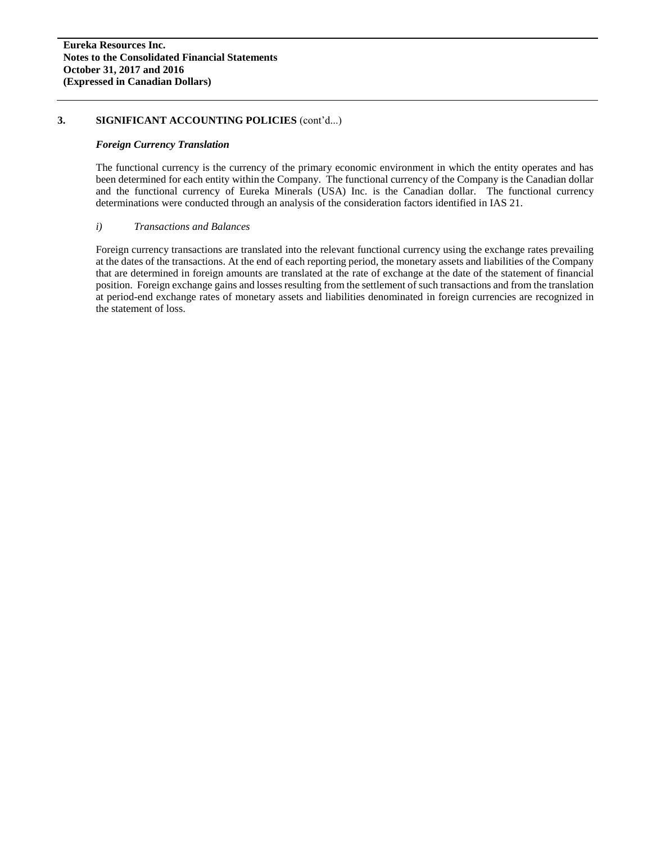# **3. SIGNIFICANT ACCOUNTING POLICIES** (cont'd...)

# *Foreign Currency Translation*

The functional currency is the currency of the primary economic environment in which the entity operates and has been determined for each entity within the Company. The functional currency of the Company is the Canadian dollar and the functional currency of Eureka Minerals (USA) Inc. is the Canadian dollar. The functional currency determinations were conducted through an analysis of the consideration factors identified in IAS 21.

# *i) Transactions and Balances*

Foreign currency transactions are translated into the relevant functional currency using the exchange rates prevailing at the dates of the transactions. At the end of each reporting period, the monetary assets and liabilities of the Company that are determined in foreign amounts are translated at the rate of exchange at the date of the statement of financial position. Foreign exchange gains and losses resulting from the settlement of such transactions and from the translation at period-end exchange rates of monetary assets and liabilities denominated in foreign currencies are recognized in the statement of loss.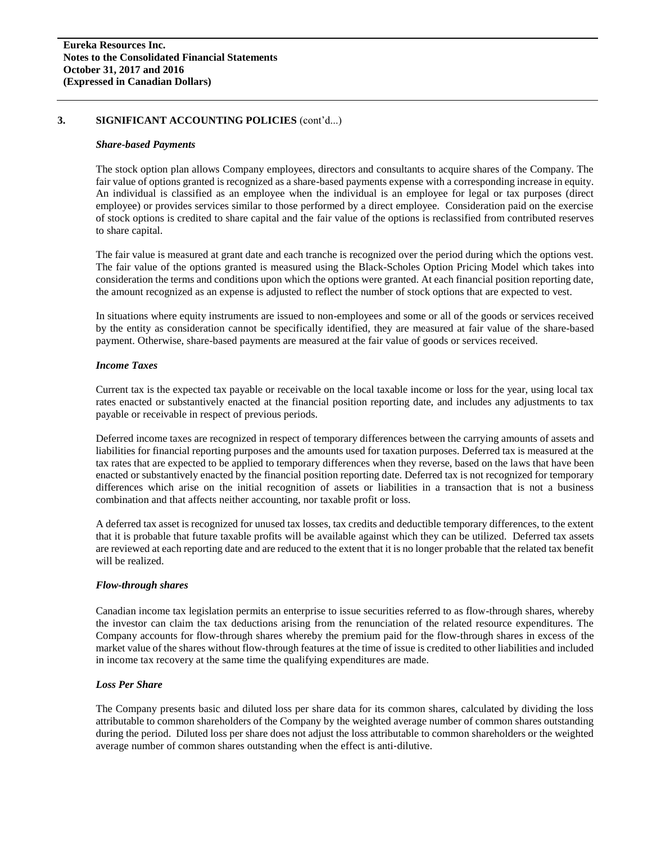# **3. SIGNIFICANT ACCOUNTING POLICIES** (cont'd...)

#### *Share-based Payments*

The stock option plan allows Company employees, directors and consultants to acquire shares of the Company. The fair value of options granted is recognized as a share-based payments expense with a corresponding increase in equity. An individual is classified as an employee when the individual is an employee for legal or tax purposes (direct employee) or provides services similar to those performed by a direct employee. Consideration paid on the exercise of stock options is credited to share capital and the fair value of the options is reclassified from contributed reserves to share capital.

The fair value is measured at grant date and each tranche is recognized over the period during which the options vest. The fair value of the options granted is measured using the Black-Scholes Option Pricing Model which takes into consideration the terms and conditions upon which the options were granted. At each financial position reporting date, the amount recognized as an expense is adjusted to reflect the number of stock options that are expected to vest.

In situations where equity instruments are issued to non-employees and some or all of the goods or services received by the entity as consideration cannot be specifically identified, they are measured at fair value of the share-based payment. Otherwise, share-based payments are measured at the fair value of goods or services received.

# *Income Taxes*

Current tax is the expected tax payable or receivable on the local taxable income or loss for the year, using local tax rates enacted or substantively enacted at the financial position reporting date, and includes any adjustments to tax payable or receivable in respect of previous periods.

Deferred income taxes are recognized in respect of temporary differences between the carrying amounts of assets and liabilities for financial reporting purposes and the amounts used for taxation purposes. Deferred tax is measured at the tax rates that are expected to be applied to temporary differences when they reverse, based on the laws that have been enacted or substantively enacted by the financial position reporting date. Deferred tax is not recognized for temporary differences which arise on the initial recognition of assets or liabilities in a transaction that is not a business combination and that affects neither accounting, nor taxable profit or loss.

A deferred tax asset is recognized for unused tax losses, tax credits and deductible temporary differences, to the extent that it is probable that future taxable profits will be available against which they can be utilized. Deferred tax assets are reviewed at each reporting date and are reduced to the extent that it is no longer probable that the related tax benefit will be realized.

# *Flow-through shares*

Canadian income tax legislation permits an enterprise to issue securities referred to as flow-through shares, whereby the investor can claim the tax deductions arising from the renunciation of the related resource expenditures. The Company accounts for flow-through shares whereby the premium paid for the flow-through shares in excess of the market value of the shares without flow-through features at the time of issue is credited to other liabilities and included in income tax recovery at the same time the qualifying expenditures are made.

# *Loss Per Share*

The Company presents basic and diluted loss per share data for its common shares, calculated by dividing the loss attributable to common shareholders of the Company by the weighted average number of common shares outstanding during the period. Diluted loss per share does not adjust the loss attributable to common shareholders or the weighted average number of common shares outstanding when the effect is anti‐dilutive.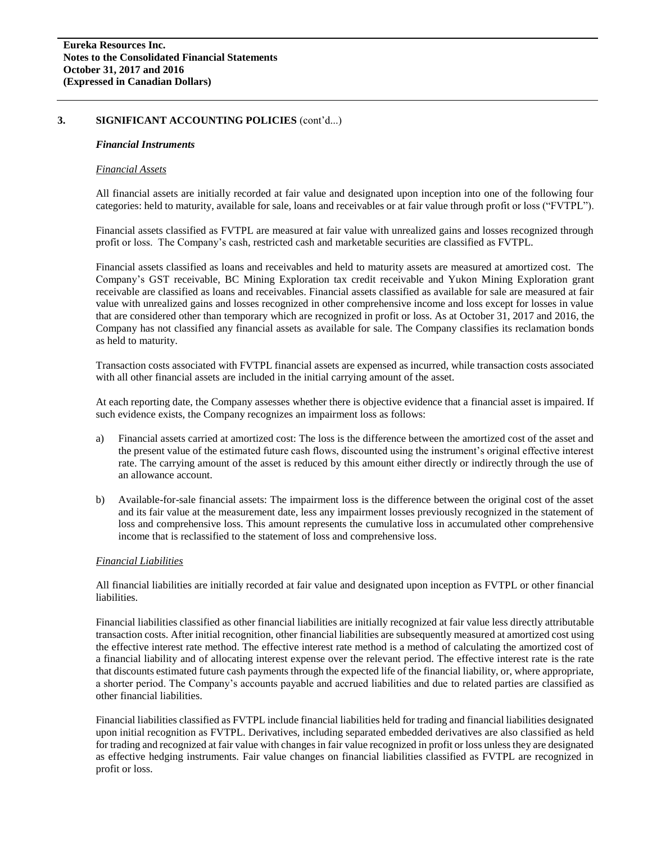# **3. SIGNIFICANT ACCOUNTING POLICIES** (cont'd...)

#### *Financial Instruments*

### *Financial Assets*

All financial assets are initially recorded at fair value and designated upon inception into one of the following four categories: held to maturity, available for sale, loans and receivables or at fair value through profit or loss ("FVTPL").

Financial assets classified as FVTPL are measured at fair value with unrealized gains and losses recognized through profit or loss. The Company's cash, restricted cash and marketable securities are classified as FVTPL.

Financial assets classified as loans and receivables and held to maturity assets are measured at amortized cost. The Company's GST receivable, BC Mining Exploration tax credit receivable and Yukon Mining Exploration grant receivable are classified as loans and receivables. Financial assets classified as available for sale are measured at fair value with unrealized gains and losses recognized in other comprehensive income and loss except for losses in value that are considered other than temporary which are recognized in profit or loss. As at October 31, 2017 and 2016, the Company has not classified any financial assets as available for sale. The Company classifies its reclamation bonds as held to maturity.

Transaction costs associated with FVTPL financial assets are expensed as incurred, while transaction costs associated with all other financial assets are included in the initial carrying amount of the asset.

At each reporting date, the Company assesses whether there is objective evidence that a financial asset is impaired. If such evidence exists, the Company recognizes an impairment loss as follows:

- a) Financial assets carried at amortized cost: The loss is the difference between the amortized cost of the asset and the present value of the estimated future cash flows, discounted using the instrument's original effective interest rate. The carrying amount of the asset is reduced by this amount either directly or indirectly through the use of an allowance account.
- b) Available-for-sale financial assets: The impairment loss is the difference between the original cost of the asset and its fair value at the measurement date, less any impairment losses previously recognized in the statement of loss and comprehensive loss. This amount represents the cumulative loss in accumulated other comprehensive income that is reclassified to the statement of loss and comprehensive loss.

# *Financial Liabilities*

All financial liabilities are initially recorded at fair value and designated upon inception as FVTPL or other financial liabilities.

Financial liabilities classified as other financial liabilities are initially recognized at fair value less directly attributable transaction costs. After initial recognition, other financial liabilities are subsequently measured at amortized cost using the effective interest rate method. The effective interest rate method is a method of calculating the amortized cost of a financial liability and of allocating interest expense over the relevant period. The effective interest rate is the rate that discounts estimated future cash payments through the expected life of the financial liability, or, where appropriate, a shorter period. The Company's accounts payable and accrued liabilities and due to related parties are classified as other financial liabilities.

Financial liabilities classified as FVTPL include financial liabilities held for trading and financial liabilities designated upon initial recognition as FVTPL. Derivatives, including separated embedded derivatives are also classified as held for trading and recognized at fair value with changes in fair value recognized in profit or loss unless they are designated as effective hedging instruments. Fair value changes on financial liabilities classified as FVTPL are recognized in profit or loss.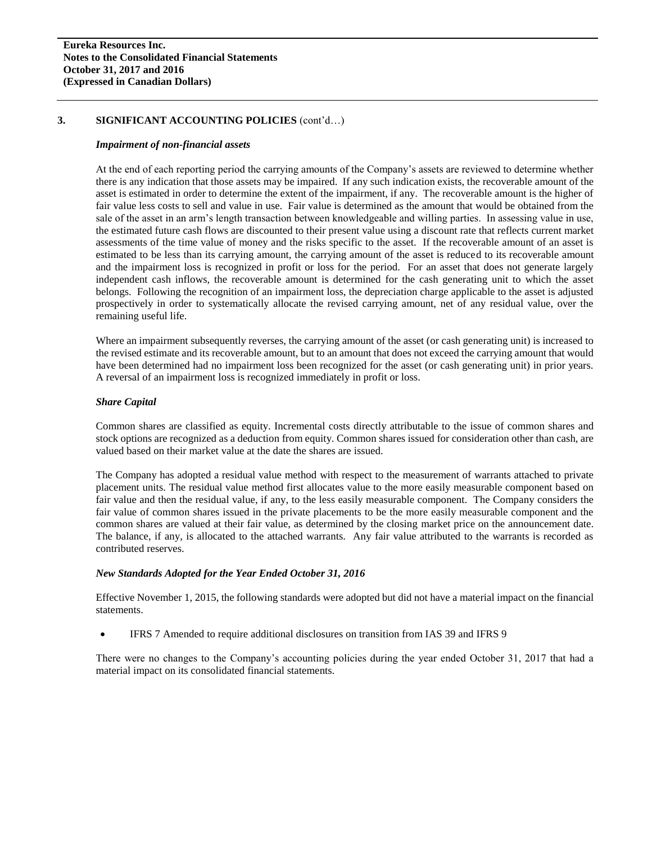# **3. SIGNIFICANT ACCOUNTING POLICIES** (cont'd…)

# *Impairment of non-financial assets*

At the end of each reporting period the carrying amounts of the Company's assets are reviewed to determine whether there is any indication that those assets may be impaired. If any such indication exists, the recoverable amount of the asset is estimated in order to determine the extent of the impairment, if any. The recoverable amount is the higher of fair value less costs to sell and value in use. Fair value is determined as the amount that would be obtained from the sale of the asset in an arm's length transaction between knowledgeable and willing parties. In assessing value in use, the estimated future cash flows are discounted to their present value using a discount rate that reflects current market assessments of the time value of money and the risks specific to the asset. If the recoverable amount of an asset is estimated to be less than its carrying amount, the carrying amount of the asset is reduced to its recoverable amount and the impairment loss is recognized in profit or loss for the period. For an asset that does not generate largely independent cash inflows, the recoverable amount is determined for the cash generating unit to which the asset belongs. Following the recognition of an impairment loss, the depreciation charge applicable to the asset is adjusted prospectively in order to systematically allocate the revised carrying amount, net of any residual value, over the remaining useful life.

Where an impairment subsequently reverses, the carrying amount of the asset (or cash generating unit) is increased to the revised estimate and its recoverable amount, but to an amount that does not exceed the carrying amount that would have been determined had no impairment loss been recognized for the asset (or cash generating unit) in prior years. A reversal of an impairment loss is recognized immediately in profit or loss.

# *Share Capital*

Common shares are classified as equity. Incremental costs directly attributable to the issue of common shares and stock options are recognized as a deduction from equity. Common shares issued for consideration other than cash, are valued based on their market value at the date the shares are issued.

The Company has adopted a residual value method with respect to the measurement of warrants attached to private placement units. The residual value method first allocates value to the more easily measurable component based on fair value and then the residual value, if any, to the less easily measurable component. The Company considers the fair value of common shares issued in the private placements to be the more easily measurable component and the common shares are valued at their fair value, as determined by the closing market price on the announcement date. The balance, if any, is allocated to the attached warrants. Any fair value attributed to the warrants is recorded as contributed reserves.

# *New Standards Adopted for the Year Ended October 31, 2016*

Effective November 1, 2015, the following standards were adopted but did not have a material impact on the financial statements.

• IFRS 7 Amended to require additional disclosures on transition from IAS 39 and IFRS 9

There were no changes to the Company's accounting policies during the year ended October 31, 2017 that had a material impact on its consolidated financial statements.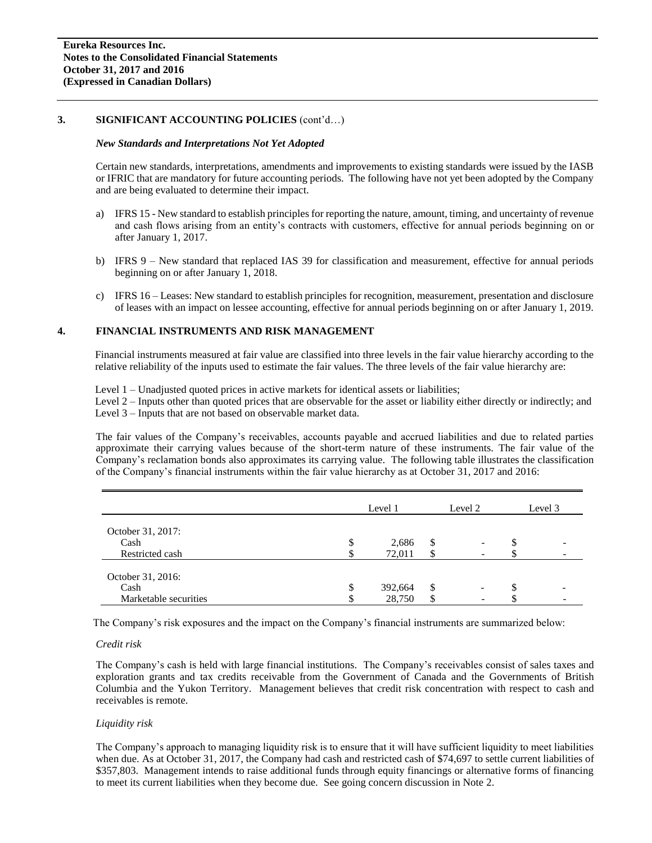# **3. SIGNIFICANT ACCOUNTING POLICIES** (cont'd…)

### *New Standards and Interpretations Not Yet Adopted*

Certain new standards, interpretations, amendments and improvements to existing standards were issued by the IASB or IFRIC that are mandatory for future accounting periods. The following have not yet been adopted by the Company and are being evaluated to determine their impact.

- a) IFRS 15 New standard to establish principles for reporting the nature, amount, timing, and uncertainty of revenue and cash flows arising from an entity's contracts with customers, effective for annual periods beginning on or after January 1, 2017.
- b) IFRS 9 New standard that replaced IAS 39 for classification and measurement, effective for annual periods beginning on or after January 1, 2018.
- c) IFRS 16 Leases: New standard to establish principles for recognition, measurement, presentation and disclosure of leases with an impact on lessee accounting, effective for annual periods beginning on or after January 1, 2019.

# **4. FINANCIAL INSTRUMENTS AND RISK MANAGEMENT**

Financial instruments measured at fair value are classified into three levels in the fair value hierarchy according to the relative reliability of the inputs used to estimate the fair values. The three levels of the fair value hierarchy are:

Level 1 – Unadjusted quoted prices in active markets for identical assets or liabilities;

Level 2 – Inputs other than quoted prices that are observable for the asset or liability either directly or indirectly; and Level 3 – Inputs that are not based on observable market data.

The fair values of the Company's receivables, accounts payable and accrued liabilities and due to related parties approximate their carrying values because of the short-term nature of these instruments. The fair value of the Company's reclamation bonds also approximates its carrying value. The following table illustrates the classification of the Company's financial instruments within the fair value hierarchy as at October 31, 2017 and 2016:

|                       | Level 1 |         |   | Level 2                  | Level 3 |                          |
|-----------------------|---------|---------|---|--------------------------|---------|--------------------------|
| October 31, 2017:     |         |         |   |                          |         |                          |
| Cash                  | Φ       | 2,686   | S |                          | \$      |                          |
| Restricted cash       |         | 72,011  |   | -                        |         | $\overline{\phantom{a}}$ |
| October 31, 2016:     |         |         |   |                          |         |                          |
| Cash                  | \$      | 392,664 | S | ۰                        | ъD      | ۰                        |
| Marketable securities |         | 28,750  |   | $\overline{\phantom{0}}$ |         |                          |

The Company's risk exposures and the impact on the Company's financial instruments are summarized below:

# *Credit risk*

The Company's cash is held with large financial institutions. The Company's receivables consist of sales taxes and exploration grants and tax credits receivable from the Government of Canada and the Governments of British Columbia and the Yukon Territory. Management believes that credit risk concentration with respect to cash and receivables is remote.

# *Liquidity risk*

The Company's approach to managing liquidity risk is to ensure that it will have sufficient liquidity to meet liabilities when due. As at October 31, 2017, the Company had cash and restricted cash of \$74,697 to settle current liabilities of \$357,803. Management intends to raise additional funds through equity financings or alternative forms of financing to meet its current liabilities when they become due. See going concern discussion in Note 2.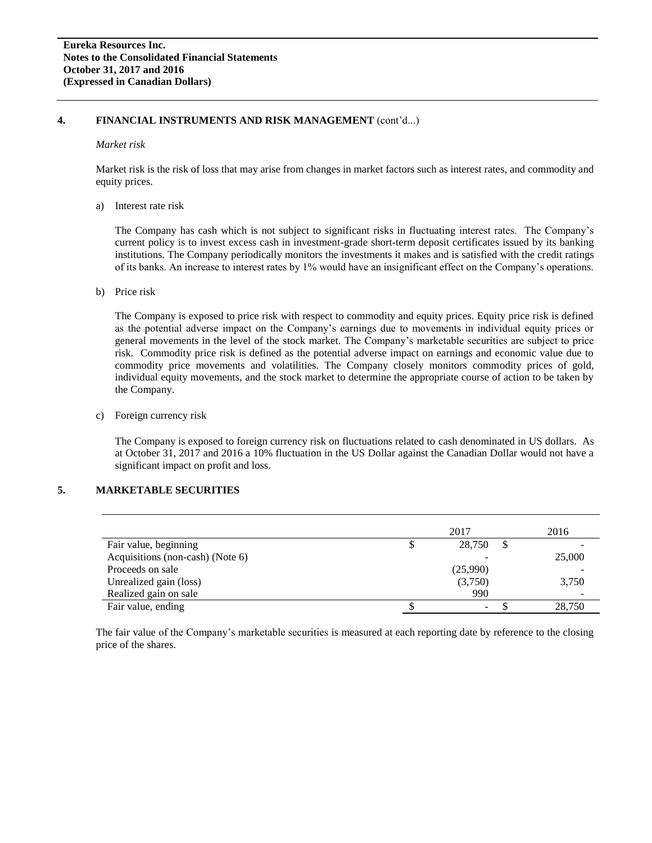# **4. FINANCIAL INSTRUMENTS AND RISK MANAGEMENT** (cont'd...)

#### *Market risk*

Market risk is the risk of loss that may arise from changes in market factors such as interest rates, and commodity and equity prices.

a) Interest rate risk

The Company has cash which is not subject to significant risks in fluctuating interest rates. The Company's current policy is to invest excess cash in investment-grade short-term deposit certificates issued by its banking institutions. The Company periodically monitors the investments it makes and is satisfied with the credit ratings of its banks. An increase to interest rates by 1% would have an insignificant effect on the Company's operations.

b) Price risk

The Company is exposed to price risk with respect to commodity and equity prices. Equity price risk is defined as the potential adverse impact on the Company's earnings due to movements in individual equity prices or general movements in the level of the stock market. The Company's marketable securities are subject to price risk. Commodity price risk is defined as the potential adverse impact on earnings and economic value due to commodity price movements and volatilities. The Company closely monitors commodity prices of gold, individual equity movements, and the stock market to determine the appropriate course of action to be taken by the Company.

c) Foreign currency risk

The Company is exposed to foreign currency risk on fluctuations related to cash denominated in US dollars. As at October 31, 2017 and 2016 a 10% fluctuation in the US Dollar against the Canadian Dollar would not have a significant impact on profit and loss.

# **5. MARKETABLE SECURITIES**

|                                  | 2017     | 2016   |
|----------------------------------|----------|--------|
| Fair value, beginning            | 28,750   |        |
| Acquisitions (non-cash) (Note 6) |          | 25,000 |
| Proceeds on sale                 | (25,990) |        |
| Unrealized gain (loss)           | (3,750)  | 3,750  |
| Realized gain on sale            | 990      |        |
| Fair value, ending               | -        | 28,750 |

The fair value of the Company's marketable securities is measured at each reporting date by reference to the closing price of the shares.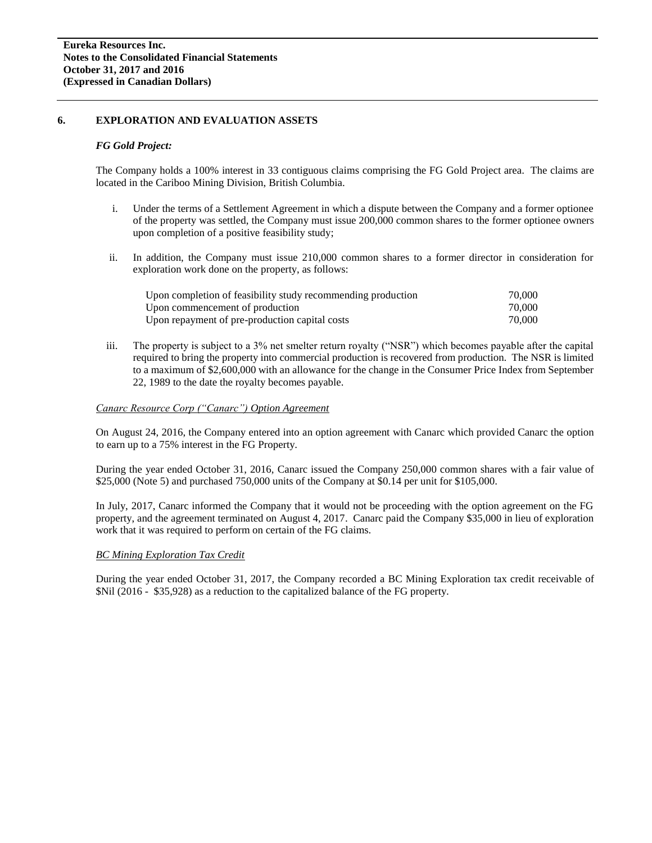# **6. EXPLORATION AND EVALUATION ASSETS**

# *FG Gold Project:*

The Company holds a 100% interest in 33 contiguous claims comprising the FG Gold Project area. The claims are located in the Cariboo Mining Division, British Columbia.

- i. Under the terms of a Settlement Agreement in which a dispute between the Company and a former optionee of the property was settled, the Company must issue 200,000 common shares to the former optionee owners upon completion of a positive feasibility study;
- ii. In addition, the Company must issue 210,000 common shares to a former director in consideration for exploration work done on the property, as follows:

| Upon completion of feasibility study recommending production | 70,000 |
|--------------------------------------------------------------|--------|
| Upon commencement of production                              | 70,000 |
| Upon repayment of pre-production capital costs               | 70,000 |

iii. The property is subject to a 3% net smelter return royalty ("NSR") which becomes payable after the capital required to bring the property into commercial production is recovered from production. The NSR is limited to a maximum of \$2,600,000 with an allowance for the change in the Consumer Price Index from September 22, 1989 to the date the royalty becomes payable.

# *Canarc Resource Corp ("Canarc") Option Agreement*

On August 24, 2016, the Company entered into an option agreement with Canarc which provided Canarc the option to earn up to a 75% interest in the FG Property.

During the year ended October 31, 2016, Canarc issued the Company 250,000 common shares with a fair value of \$25,000 (Note 5) and purchased 750,000 units of the Company at \$0.14 per unit for \$105,000.

In July, 2017, Canarc informed the Company that it would not be proceeding with the option agreement on the FG property, and the agreement terminated on August 4, 2017. Canarc paid the Company \$35,000 in lieu of exploration work that it was required to perform on certain of the FG claims.

# *BC Mining Exploration Tax Credit*

During the year ended October 31, 2017, the Company recorded a BC Mining Exploration tax credit receivable of \$Nil (2016 - \$35,928) as a reduction to the capitalized balance of the FG property.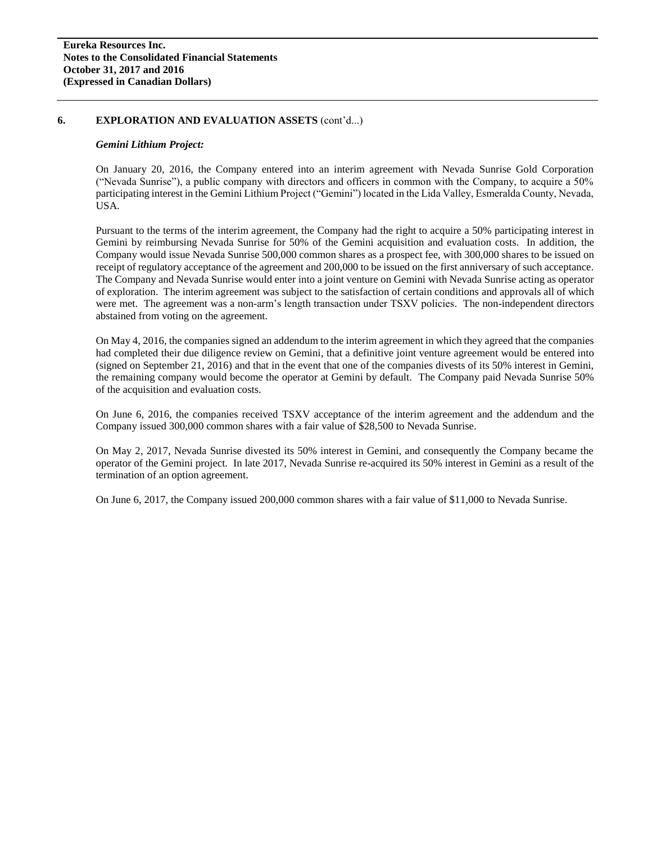# **6. EXPLORATION AND EVALUATION ASSETS** (cont'd...)

### *Gemini Lithium Project:*

On January 20, 2016, the Company entered into an interim agreement with Nevada Sunrise Gold Corporation ("Nevada Sunrise"), a public company with directors and officers in common with the Company, to acquire a 50% participating interest in the Gemini Lithium Project ("Gemini") located in the Lida Valley, Esmeralda County, Nevada, USA.

Pursuant to the terms of the interim agreement, the Company had the right to acquire a 50% participating interest in Gemini by reimbursing Nevada Sunrise for 50% of the Gemini acquisition and evaluation costs. In addition, the Company would issue Nevada Sunrise 500,000 common shares as a prospect fee, with 300,000 shares to be issued on receipt of regulatory acceptance of the agreement and 200,000 to be issued on the first anniversary of such acceptance. The Company and Nevada Sunrise would enter into a joint venture on Gemini with Nevada Sunrise acting as operator of exploration. The interim agreement was subject to the satisfaction of certain conditions and approvals all of which were met. The agreement was a non-arm's length transaction under TSXV policies. The non-independent directors abstained from voting on the agreement.

On May 4, 2016, the companies signed an addendum to the interim agreement in which they agreed that the companies had completed their due diligence review on Gemini, that a definitive joint venture agreement would be entered into (signed on September 21, 2016) and that in the event that one of the companies divests of its 50% interest in Gemini, the remaining company would become the operator at Gemini by default. The Company paid Nevada Sunrise 50% of the acquisition and evaluation costs.

On June 6, 2016, the companies received TSXV acceptance of the interim agreement and the addendum and the Company issued 300,000 common shares with a fair value of \$28,500 to Nevada Sunrise.

On May 2, 2017, Nevada Sunrise divested its 50% interest in Gemini, and consequently the Company became the operator of the Gemini project. In late 2017, Nevada Sunrise re-acquired its 50% interest in Gemini as a result of the termination of an option agreement.

On June 6, 2017, the Company issued 200,000 common shares with a fair value of \$11,000 to Nevada Sunrise.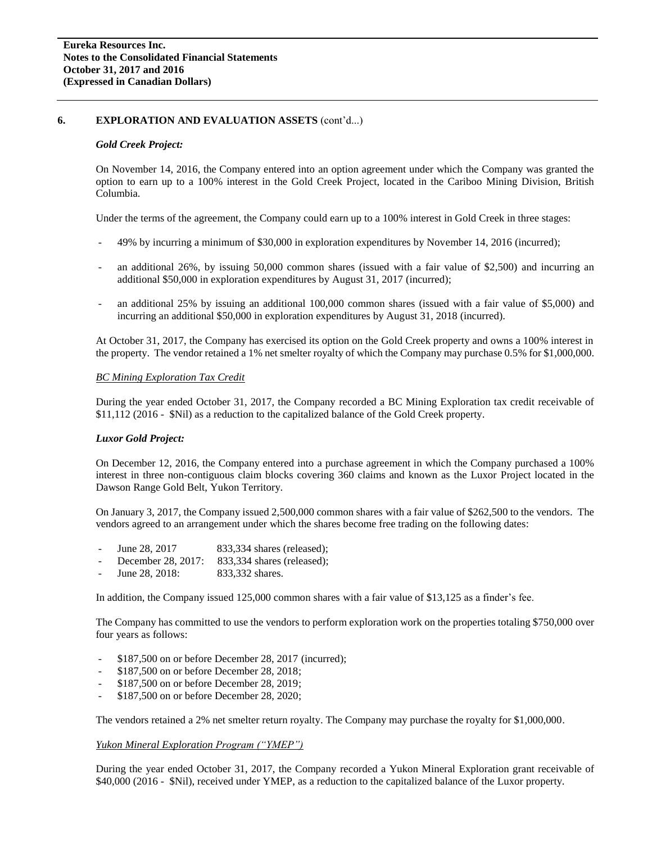# **6. EXPLORATION AND EVALUATION ASSETS** (cont'd...)

#### *Gold Creek Project:*

On November 14, 2016, the Company entered into an option agreement under which the Company was granted the option to earn up to a 100% interest in the Gold Creek Project, located in the Cariboo Mining Division, British Columbia.

Under the terms of the agreement, the Company could earn up to a 100% interest in Gold Creek in three stages:

- 49% by incurring a minimum of \$30,000 in exploration expenditures by November 14, 2016 (incurred);
- an additional 26%, by issuing 50,000 common shares (issued with a fair value of \$2,500) and incurring an additional \$50,000 in exploration expenditures by August 31, 2017 (incurred);
- an additional 25% by issuing an additional 100,000 common shares (issued with a fair value of \$5,000) and incurring an additional \$50,000 in exploration expenditures by August 31, 2018 (incurred).

At October 31, 2017, the Company has exercised its option on the Gold Creek property and owns a 100% interest in the property. The vendor retained a 1% net smelter royalty of which the Company may purchase 0.5% for \$1,000,000.

#### *BC Mining Exploration Tax Credit*

During the year ended October 31, 2017, the Company recorded a BC Mining Exploration tax credit receivable of \$11,112 (2016 - \$Nil) as a reduction to the capitalized balance of the Gold Creek property.

# *Luxor Gold Project:*

On December 12, 2016, the Company entered into a purchase agreement in which the Company purchased a 100% interest in three non-contiguous claim blocks covering 360 claims and known as the Luxor Project located in the Dawson Range Gold Belt, Yukon Territory.

On January 3, 2017, the Company issued 2,500,000 common shares with a fair value of \$262,500 to the vendors. The vendors agreed to an arrangement under which the shares become free trading on the following dates:

- June 28, 2017 833,334 shares (released);
- December 28, 2017: 833,334 shares (released);
- June 28, 2018: 833,332 shares.

In addition, the Company issued 125,000 common shares with a fair value of \$13,125 as a finder's fee.

The Company has committed to use the vendors to perform exploration work on the properties totaling \$750,000 over four years as follows:

- \$187,500 on or before December 28, 2017 (incurred);
- \$187,500 on or before December 28, 2018;
- \$187,500 on or before December 28, 2019;
- \$187,500 on or before December 28, 2020;

The vendors retained a 2% net smelter return royalty. The Company may purchase the royalty for \$1,000,000.

#### *Yukon Mineral Exploration Program ("YMEP")*

During the year ended October 31, 2017, the Company recorded a Yukon Mineral Exploration grant receivable of \$40,000 (2016 - \$Nil), received under YMEP, as a reduction to the capitalized balance of the Luxor property.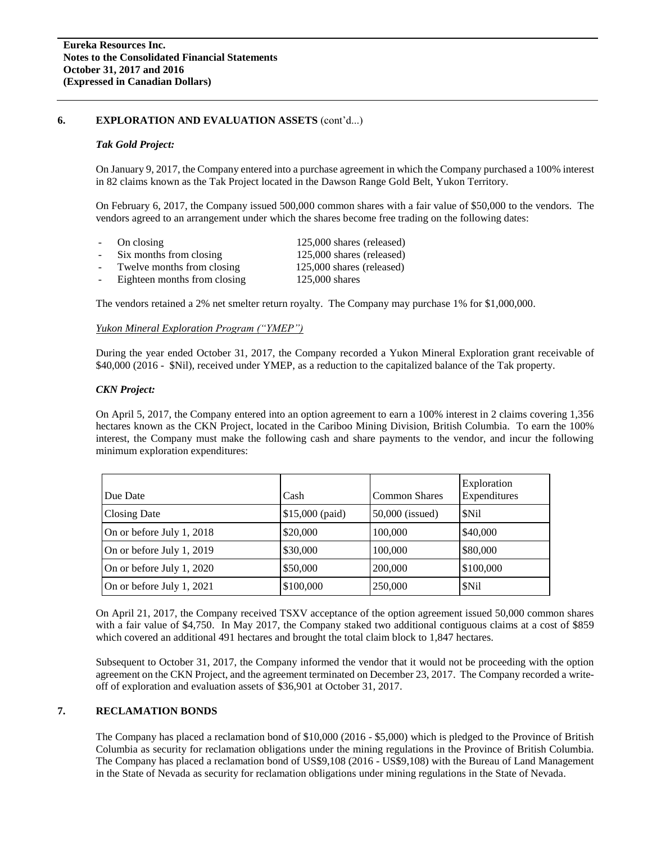# **6. EXPLORATION AND EVALUATION ASSETS** (cont'd...)

### *Tak Gold Project:*

On January 9, 2017, the Company entered into a purchase agreement in which the Company purchased a 100% interest in 82 claims known as the Tak Project located in the Dawson Range Gold Belt, Yukon Territory.

On February 6, 2017, the Company issued 500,000 common shares with a fair value of \$50,000 to the vendors. The vendors agreed to an arrangement under which the shares become free trading on the following dates:

| $\sim 100$      | On closing                   | 125,000 shares (released) |
|-----------------|------------------------------|---------------------------|
| $\sim$ $-$      | Six months from closing      | 125,000 shares (released) |
| $\sim$ 10 $\pm$ | Twelve months from closing   | 125,000 shares (released) |
| $\sim 100$      | Eighteen months from closing | $125,000$ shares          |

The vendors retained a 2% net smelter return royalty. The Company may purchase 1% for \$1,000,000.

## *Yukon Mineral Exploration Program ("YMEP")*

During the year ended October 31, 2017, the Company recorded a Yukon Mineral Exploration grant receivable of \$40,000 (2016 - \$Nil), received under YMEP, as a reduction to the capitalized balance of the Tak property.

#### *CKN Project:*

On April 5, 2017, the Company entered into an option agreement to earn a 100% interest in 2 claims covering 1,356 hectares known as the CKN Project, located in the Cariboo Mining Division, British Columbia. To earn the 100% interest, the Company must make the following cash and share payments to the vendor, and incur the following minimum exploration expenditures:

| Due Date                  | Cash            | <b>Common Shares</b> | Exploration<br>Expenditures |
|---------------------------|-----------------|----------------------|-----------------------------|
| Closing Date              | \$15,000 (paid) | $50,000$ (issued)    | <b>SNil</b>                 |
| On or before July 1, 2018 | \$20,000        | 100,000              | \$40,000                    |
| On or before July 1, 2019 | \$30,000        | 100,000              | \$80,000                    |
| On or before July 1, 2020 | \$50,000        | 200,000              | \$100,000                   |
| On or before July 1, 2021 | \$100,000       | 250,000              | \$Nil                       |

On April 21, 2017, the Company received TSXV acceptance of the option agreement issued 50,000 common shares with a fair value of \$4,750. In May 2017, the Company staked two additional contiguous claims at a cost of \$859 which covered an additional 491 hectares and brought the total claim block to 1,847 hectares.

Subsequent to October 31, 2017, the Company informed the vendor that it would not be proceeding with the option agreement on the CKN Project, and the agreement terminated on December 23, 2017. The Company recorded a writeoff of exploration and evaluation assets of \$36,901 at October 31, 2017.

# **7. RECLAMATION BONDS**

The Company has placed a reclamation bond of \$10,000 (2016 - \$5,000) which is pledged to the Province of British Columbia as security for reclamation obligations under the mining regulations in the Province of British Columbia. The Company has placed a reclamation bond of US\$9,108 (2016 - US\$9,108) with the Bureau of Land Management in the State of Nevada as security for reclamation obligations under mining regulations in the State of Nevada.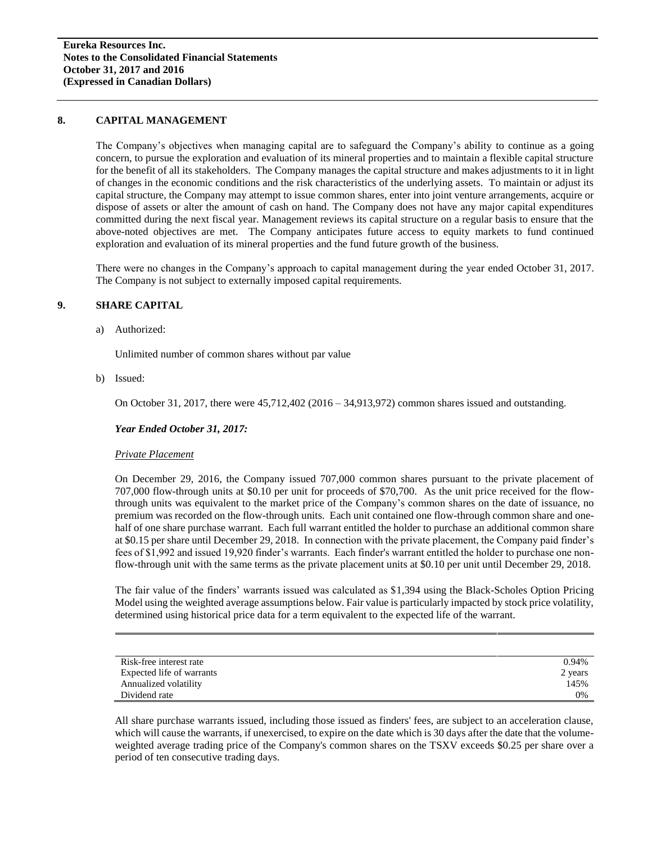# **8. CAPITAL MANAGEMENT**

The Company's objectives when managing capital are to safeguard the Company's ability to continue as a going concern, to pursue the exploration and evaluation of its mineral properties and to maintain a flexible capital structure for the benefit of all its stakeholders. The Company manages the capital structure and makes adjustments to it in light of changes in the economic conditions and the risk characteristics of the underlying assets. To maintain or adjust its capital structure, the Company may attempt to issue common shares, enter into joint venture arrangements, acquire or dispose of assets or alter the amount of cash on hand. The Company does not have any major capital expenditures committed during the next fiscal year. Management reviews its capital structure on a regular basis to ensure that the above-noted objectives are met. The Company anticipates future access to equity markets to fund continued exploration and evaluation of its mineral properties and the fund future growth of the business.

There were no changes in the Company's approach to capital management during the year ended October 31, 2017. The Company is not subject to externally imposed capital requirements.

# **9. SHARE CAPITAL**

a) Authorized:

Unlimited number of common shares without par value

b) Issued:

On October 31, 2017, there were  $45,712,402$  (2016 – 34,913,972) common shares issued and outstanding.

# *Year Ended October 31, 2017:*

#### *Private Placement*

On December 29, 2016, the Company issued 707,000 common shares pursuant to the private placement of 707,000 flow-through units at \$0.10 per unit for proceeds of \$70,700. As the unit price received for the flowthrough units was equivalent to the market price of the Company's common shares on the date of issuance, no premium was recorded on the flow-through units. Each unit contained one flow-through common share and onehalf of one share purchase warrant. Each full warrant entitled the holder to purchase an additional common share at \$0.15 per share until December 29, 2018. In connection with the private placement, the Company paid finder's fees of \$1,992 and issued 19,920 finder's warrants. Each finder's warrant entitled the holder to purchase one nonflow-through unit with the same terms as the private placement units at \$0.10 per unit until December 29, 2018.

The fair value of the finders' warrants issued was calculated as \$1,394 using the Black-Scholes Option Pricing Model using the weighted average assumptions below. Fair value is particularly impacted by stock price volatility, determined using historical price data for a term equivalent to the expected life of the warrant.

| Risk-free interest rate   | $0.94\%$ |
|---------------------------|----------|
| Expected life of warrants | 2 years  |
| Annualized volatility     | 145%     |
| Dividend rate             | 0%       |

All share purchase warrants issued, including those issued as finders' fees, are subject to an acceleration clause, which will cause the warrants, if unexercised, to expire on the date which is 30 days after the date that the volumeweighted average trading price of the Company's common shares on the TSXV exceeds \$0.25 per share over a period of ten consecutive trading days.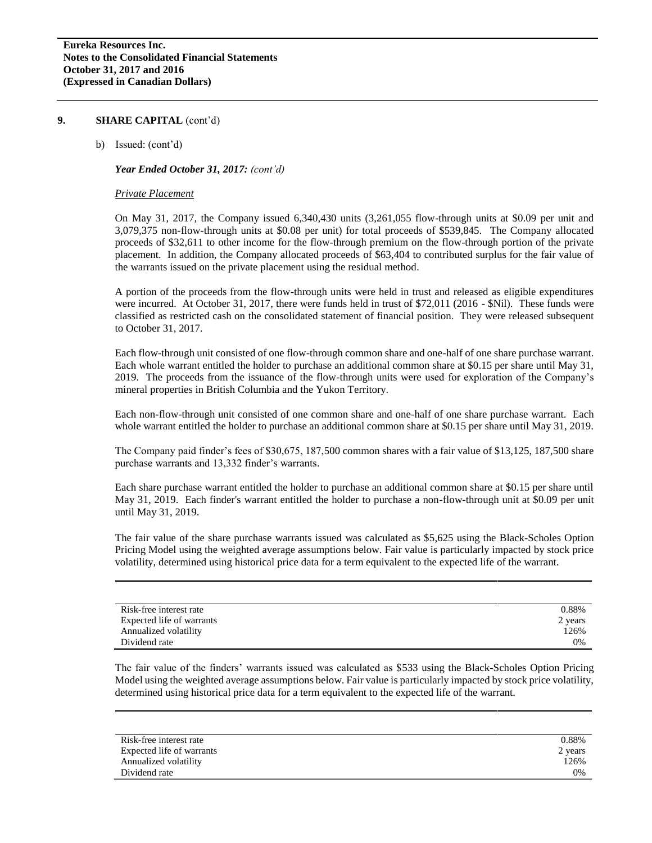b) Issued: (cont'd)

*Year Ended October 31, 2017: (cont'd)*

# *Private Placement*

On May 31, 2017, the Company issued 6,340,430 units (3,261,055 flow-through units at \$0.09 per unit and 3,079,375 non-flow-through units at \$0.08 per unit) for total proceeds of \$539,845. The Company allocated proceeds of \$32,611 to other income for the flow-through premium on the flow-through portion of the private placement. In addition, the Company allocated proceeds of \$63,404 to contributed surplus for the fair value of the warrants issued on the private placement using the residual method.

A portion of the proceeds from the flow-through units were held in trust and released as eligible expenditures were incurred. At October 31, 2017, there were funds held in trust of \$72,011 (2016 - \$Nil). These funds were classified as restricted cash on the consolidated statement of financial position. They were released subsequent to October 31, 2017.

Each flow-through unit consisted of one flow-through common share and one-half of one share purchase warrant. Each whole warrant entitled the holder to purchase an additional common share at \$0.15 per share until May 31, 2019. The proceeds from the issuance of the flow-through units were used for exploration of the Company's mineral properties in British Columbia and the Yukon Territory.

Each non-flow-through unit consisted of one common share and one-half of one share purchase warrant. Each whole warrant entitled the holder to purchase an additional common share at \$0.15 per share until May 31, 2019.

The Company paid finder's fees of \$30,675, 187,500 common shares with a fair value of \$13,125, 187,500 share purchase warrants and 13,332 finder's warrants.

Each share purchase warrant entitled the holder to purchase an additional common share at \$0.15 per share until May 31, 2019. Each finder's warrant entitled the holder to purchase a non-flow-through unit at \$0.09 per unit until May 31, 2019.

The fair value of the share purchase warrants issued was calculated as \$5,625 using the Black-Scholes Option Pricing Model using the weighted average assumptions below. Fair value is particularly impacted by stock price volatility, determined using historical price data for a term equivalent to the expected life of the warrant.

| Risk-free interest rate   | 0.88%   |
|---------------------------|---------|
| Expected life of warrants | 2 years |
| Annualized volatility     | 126%    |
| Dividend rate             | 0%      |

The fair value of the finders' warrants issued was calculated as \$533 using the Black-Scholes Option Pricing Model using the weighted average assumptions below. Fair value is particularly impacted by stock price volatility, determined using historical price data for a term equivalent to the expected life of the warrant.

| Risk-free interest rate   | 0.88%   |
|---------------------------|---------|
| Expected life of warrants | 2 years |
| Annualized volatility     | 126%    |
| Dividend rate             | 0%      |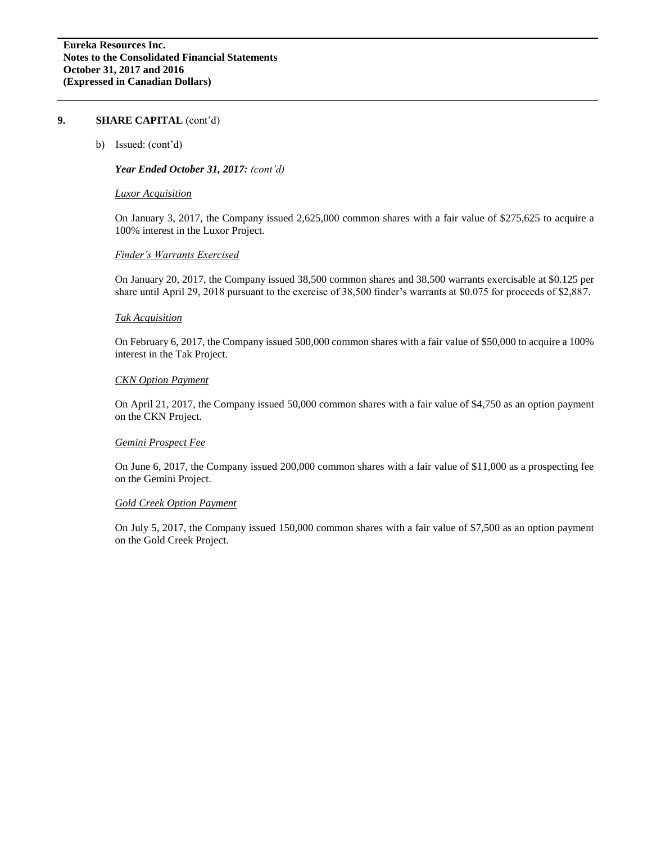b) Issued: (cont'd)

*Year Ended October 31, 2017: (cont'd)*

#### *Luxor Acquisition*

On January 3, 2017, the Company issued 2,625,000 common shares with a fair value of \$275,625 to acquire a 100% interest in the Luxor Project.

#### *Finder's Warrants Exercised*

On January 20, 2017, the Company issued 38,500 common shares and 38,500 warrants exercisable at \$0.125 per share until April 29, 2018 pursuant to the exercise of 38,500 finder's warrants at \$0.075 for proceeds of \$2,887.

#### *Tak Acquisition*

On February 6, 2017, the Company issued 500,000 common shares with a fair value of \$50,000 to acquire a 100% interest in the Tak Project.

# *CKN Option Payment*

On April 21, 2017, the Company issued 50,000 common shares with a fair value of \$4,750 as an option payment on the CKN Project.

#### *Gemini Prospect Fee*

On June 6, 2017, the Company issued 200,000 common shares with a fair value of \$11,000 as a prospecting fee on the Gemini Project.

# *Gold Creek Option Payment*

On July 5, 2017, the Company issued 150,000 common shares with a fair value of \$7,500 as an option payment on the Gold Creek Project.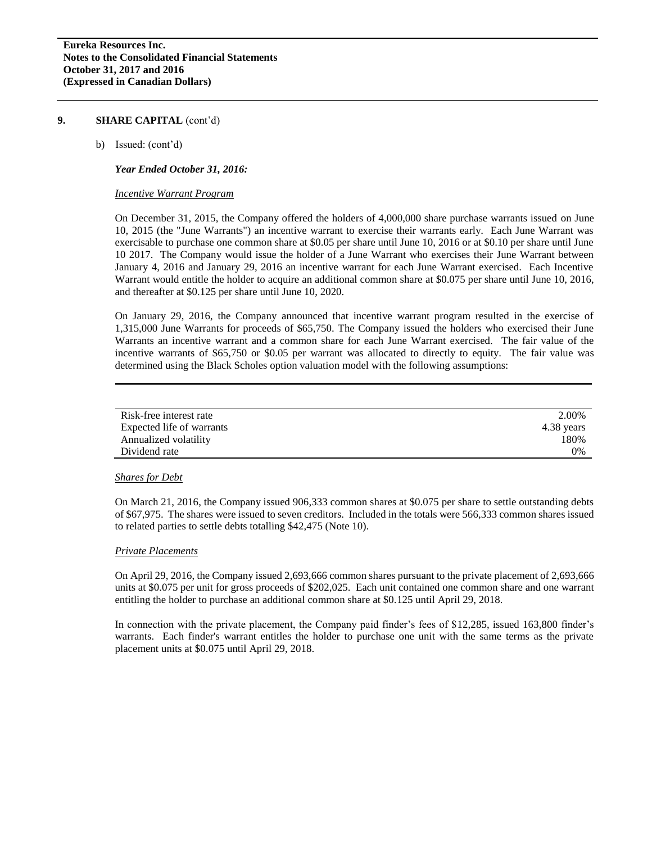b) Issued: (cont'd)

*Year Ended October 31, 2016:*

# *Incentive Warrant Program*

On December 31, 2015, the Company offered the holders of 4,000,000 share purchase warrants issued on June 10, 2015 (the "June Warrants") an incentive warrant to exercise their warrants early. Each June Warrant was exercisable to purchase one common share at \$0.05 per share until June 10, 2016 or at \$0.10 per share until June 10 2017. The Company would issue the holder of a June Warrant who exercises their June Warrant between January 4, 2016 and January 29, 2016 an incentive warrant for each June Warrant exercised. Each Incentive Warrant would entitle the holder to acquire an additional common share at \$0.075 per share until June 10, 2016, and thereafter at \$0.125 per share until June 10, 2020.

On January 29, 2016, the Company announced that incentive warrant program resulted in the exercise of 1,315,000 June Warrants for proceeds of \$65,750. The Company issued the holders who exercised their June Warrants an incentive warrant and a common share for each June Warrant exercised. The fair value of the incentive warrants of \$65,750 or \$0.05 per warrant was allocated to directly to equity. The fair value was determined using the Black Scholes option valuation model with the following assumptions:

| Risk-free interest rate   | 2.00%      |
|---------------------------|------------|
| Expected life of warrants | 4.38 years |
| Annualized volatility     | 180%       |
| Dividend rate             | $0\%$      |
|                           |            |

# *Shares for Debt*

On March 21, 2016, the Company issued 906,333 common shares at \$0.075 per share to settle outstanding debts of \$67,975. The shares were issued to seven creditors. Included in the totals were 566,333 common shares issued to related parties to settle debts totalling \$42,475 (Note 10).

# *Private Placements*

On April 29, 2016, the Company issued 2,693,666 common shares pursuant to the private placement of 2,693,666 units at \$0.075 per unit for gross proceeds of \$202,025. Each unit contained one common share and one warrant entitling the holder to purchase an additional common share at \$0.125 until April 29, 2018.

In connection with the private placement, the Company paid finder's fees of \$12,285, issued 163,800 finder's warrants. Each finder's warrant entitles the holder to purchase one unit with the same terms as the private placement units at \$0.075 until April 29, 2018.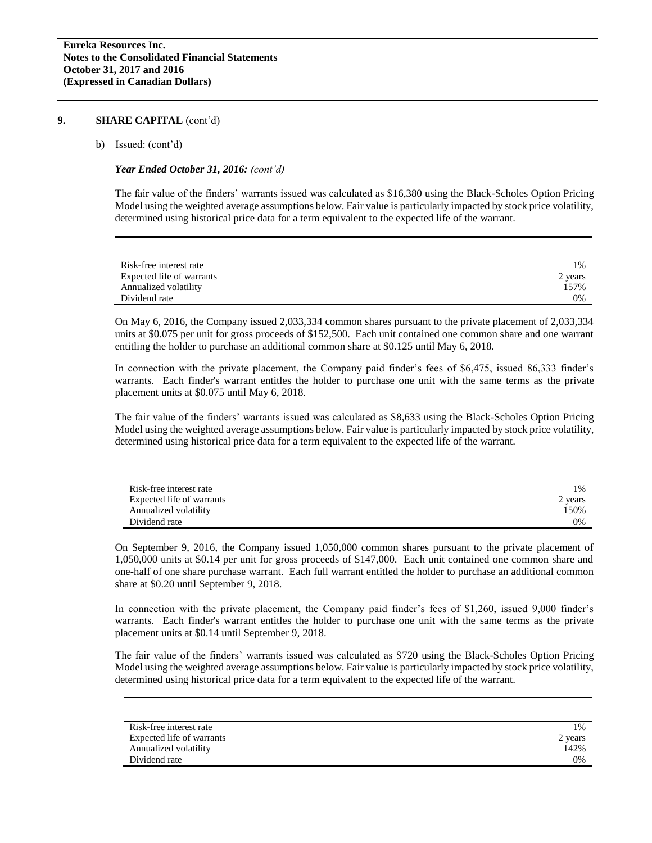# b) Issued: (cont'd)

*Year Ended October 31, 2016: (cont'd)*

The fair value of the finders' warrants issued was calculated as \$16,380 using the Black-Scholes Option Pricing Model using the weighted average assumptions below. Fair value is particularly impacted by stock price volatility, determined using historical price data for a term equivalent to the expected life of the warrant.

| Risk-free interest rate   | 1%      |
|---------------------------|---------|
| Expected life of warrants | 2 years |
| Annualized volatility     | 157%    |
| Dividend rate             | 0%      |

On May 6, 2016, the Company issued 2,033,334 common shares pursuant to the private placement of 2,033,334 units at \$0.075 per unit for gross proceeds of \$152,500. Each unit contained one common share and one warrant entitling the holder to purchase an additional common share at \$0.125 until May 6, 2018.

In connection with the private placement, the Company paid finder's fees of \$6,475, issued 86,333 finder's warrants. Each finder's warrant entitles the holder to purchase one unit with the same terms as the private placement units at \$0.075 until May 6, 2018.

The fair value of the finders' warrants issued was calculated as \$8,633 using the Black-Scholes Option Pricing Model using the weighted average assumptions below. Fair value is particularly impacted by stock price volatility, determined using historical price data for a term equivalent to the expected life of the warrant.

| Risk-free interest rate   | 1%      |
|---------------------------|---------|
| Expected life of warrants | 2 years |
| Annualized volatility     | 150%    |
| Dividend rate             | 0%      |

On September 9, 2016, the Company issued 1,050,000 common shares pursuant to the private placement of 1,050,000 units at \$0.14 per unit for gross proceeds of \$147,000. Each unit contained one common share and one-half of one share purchase warrant. Each full warrant entitled the holder to purchase an additional common share at \$0.20 until September 9, 2018.

In connection with the private placement, the Company paid finder's fees of \$1,260, issued 9,000 finder's warrants. Each finder's warrant entitles the holder to purchase one unit with the same terms as the private placement units at \$0.14 until September 9, 2018.

The fair value of the finders' warrants issued was calculated as \$720 using the Black-Scholes Option Pricing Model using the weighted average assumptions below. Fair value is particularly impacted by stock price volatility, determined using historical price data for a term equivalent to the expected life of the warrant.

| Risk-free interest rate   | 1%      |
|---------------------------|---------|
| Expected life of warrants | 2 years |
| Annualized volatility     | 142%    |
| Dividend rate             | 0%      |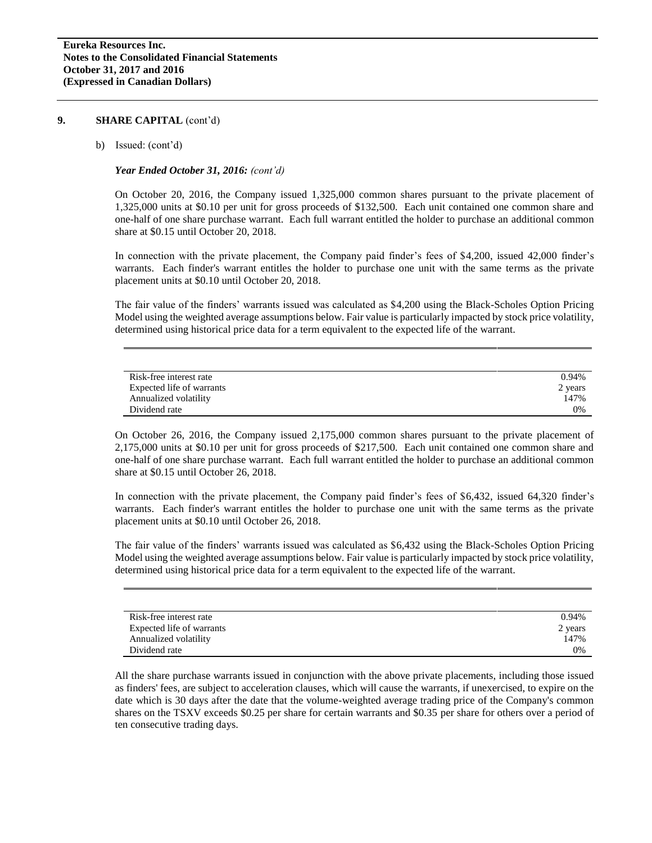b)Issued: (cont'd)

*Year Ended October 31, 2016: (cont'd)*

On October 20, 2016, the Company issued 1,325,000 common shares pursuant to the private placement of 1,325,000 units at \$0.10 per unit for gross proceeds of \$132,500. Each unit contained one common share and one-half of one share purchase warrant. Each full warrant entitled the holder to purchase an additional common share at \$0.15 until October 20, 2018.

In connection with the private placement, the Company paid finder's fees of \$4,200, issued 42,000 finder's warrants. Each finder's warrant entitles the holder to purchase one unit with the same terms as the private placement units at \$0.10 until October 20, 2018.

The fair value of the finders' warrants issued was calculated as \$4,200 using the Black-Scholes Option Pricing Model using the weighted average assumptions below. Fair value is particularly impacted by stock price volatility, determined using historical price data for a term equivalent to the expected life of the warrant.

| Risk-free interest rate   | 0.94%   |
|---------------------------|---------|
| Expected life of warrants | 2 years |
| Annualized volatility     | 147%    |
| Dividend rate             | $0\%$   |

On October 26, 2016, the Company issued 2,175,000 common shares pursuant to the private placement of 2,175,000 units at \$0.10 per unit for gross proceeds of \$217,500. Each unit contained one common share and one-half of one share purchase warrant. Each full warrant entitled the holder to purchase an additional common share at \$0.15 until October 26, 2018.

In connection with the private placement, the Company paid finder's fees of \$6,432, issued 64,320 finder's warrants. Each finder's warrant entitles the holder to purchase one unit with the same terms as the private placement units at \$0.10 until October 26, 2018.

The fair value of the finders' warrants issued was calculated as \$6,432 using the Black-Scholes Option Pricing Model using the weighted average assumptions below. Fair value is particularly impacted by stock price volatility, determined using historical price data for a term equivalent to the expected life of the warrant.

| Risk-free interest rate   | 0.94%   |
|---------------------------|---------|
| Expected life of warrants | 2 years |
| Annualized volatility     | 147%    |
| Dividend rate             | $0\%$   |

All the share purchase warrants issued in conjunction with the above private placements, including those issued as finders' fees, are subject to acceleration clauses, which will cause the warrants, if unexercised, to expire on the date which is 30 days after the date that the volume-weighted average trading price of the Company's common shares on the TSXV exceeds \$0.25 per share for certain warrants and \$0.35 per share for others over a period of ten consecutive trading days.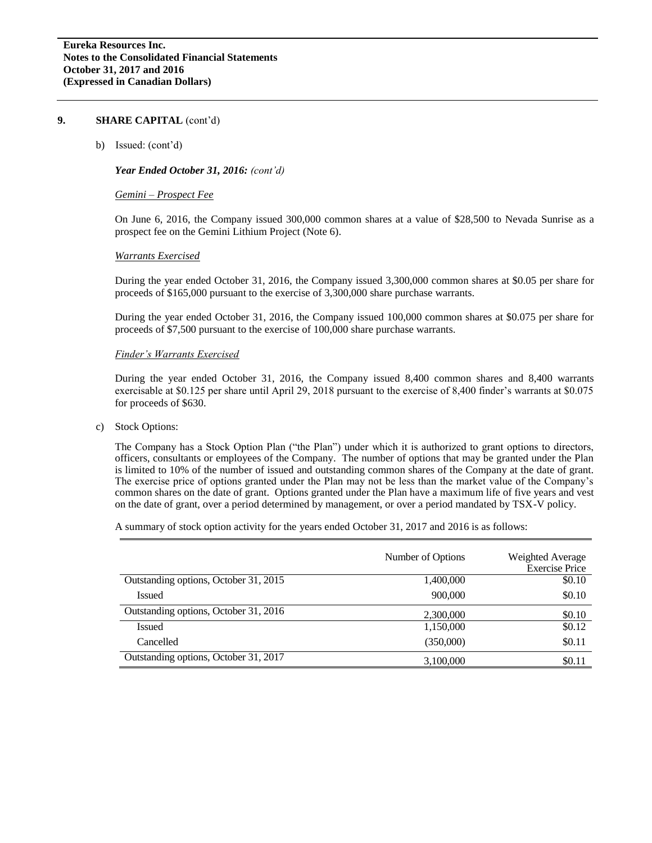b)Issued: (cont'd)

*Year Ended October 31, 2016: (cont'd)*

#### *Gemini – Prospect Fee*

On June 6, 2016, the Company issued 300,000 common shares at a value of \$28,500 to Nevada Sunrise as a prospect fee on the Gemini Lithium Project (Note 6).

#### *Warrants Exercised*

During the year ended October 31, 2016, the Company issued 3,300,000 common shares at \$0.05 per share for proceeds of \$165,000 pursuant to the exercise of 3,300,000 share purchase warrants.

During the year ended October 31, 2016, the Company issued 100,000 common shares at \$0.075 per share for proceeds of \$7,500 pursuant to the exercise of 100,000 share purchase warrants.

#### *Finder's Warrants Exercised*

During the year ended October 31, 2016, the Company issued 8,400 common shares and 8,400 warrants exercisable at \$0.125 per share until April 29, 2018 pursuant to the exercise of 8,400 finder's warrants at \$0.075 for proceeds of \$630.

#### c) Stock Options:

The Company has a Stock Option Plan ("the Plan") under which it is authorized to grant options to directors, officers, consultants or employees of the Company. The number of options that may be granted under the Plan is limited to 10% of the number of issued and outstanding common shares of the Company at the date of grant. The exercise price of options granted under the Plan may not be less than the market value of the Company's common shares on the date of grant. Options granted under the Plan have a maximum life of five years and vest on the date of grant, over a period determined by management, or over a period mandated by TSX-V policy.

A summary of stock option activity for the years ended October 31, 2017 and 2016 is as follows:

|                                       | Number of Options | Weighted Average<br><b>Exercise Price</b> |
|---------------------------------------|-------------------|-------------------------------------------|
| Outstanding options, October 31, 2015 | 1,400,000         | \$0.10                                    |
| <b>Issued</b>                         | 900,000           | \$0.10                                    |
| Outstanding options, October 31, 2016 | 2,300,000         | \$0.10                                    |
| <b>Issued</b>                         | 1,150,000         | \$0.12                                    |
| Cancelled                             | (350,000)         | \$0.11                                    |
| Outstanding options, October 31, 2017 | 3,100,000         | \$0.11                                    |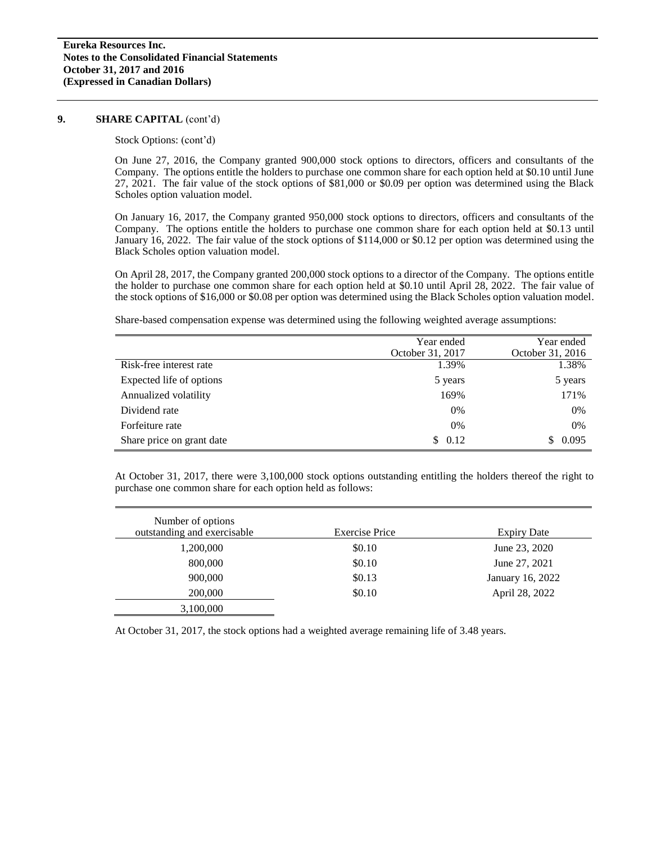Stock Options: (cont'd)

On June 27, 2016, the Company granted 900,000 stock options to directors, officers and consultants of the Company. The options entitle the holders to purchase one common share for each option held at \$0.10 until June 27, 2021. The fair value of the stock options of \$81,000 or \$0.09 per option was determined using the Black Scholes option valuation model.

On January 16, 2017, the Company granted 950,000 stock options to directors, officers and consultants of the Company. The options entitle the holders to purchase one common share for each option held at \$0.13 until January 16, 2022. The fair value of the stock options of \$114,000 or \$0.12 per option was determined using the Black Scholes option valuation model.

On April 28, 2017, the Company granted 200,000 stock options to a director of the Company. The options entitle the holder to purchase one common share for each option held at \$0.10 until April 28, 2022. The fair value of the stock options of \$16,000 or \$0.08 per option was determined using the Black Scholes option valuation model.

Share-based compensation expense was determined using the following weighted average assumptions:

|                           | Year ended       | Year ended       |  |  |
|---------------------------|------------------|------------------|--|--|
|                           | October 31, 2017 | October 31, 2016 |  |  |
| Risk-free interest rate   | 1.39%            | 1.38%            |  |  |
| Expected life of options  | 5 years          | 5 years          |  |  |
| Annualized volatility     | 169%             | 171%             |  |  |
| Dividend rate             | $0\%$            | 0%               |  |  |
| Forfeiture rate           | 0%               | 0%               |  |  |
| Share price on grant date | 0.12<br>S.       | 0.095            |  |  |

At October 31, 2017, there were 3,100,000 stock options outstanding entitling the holders thereof the right to purchase one common share for each option held as follows:

| Number of options<br>outstanding and exercisable | <b>Exercise Price</b> | <b>Expiry Date</b> |
|--------------------------------------------------|-----------------------|--------------------|
| 1,200,000                                        | \$0.10                | June 23, 2020      |
| 800,000                                          | \$0.10                | June 27, 2021      |
| 900,000                                          | \$0.13                | January 16, 2022   |
| 200,000                                          | \$0.10                | April 28, 2022     |
| 3,100,000                                        |                       |                    |

At October 31, 2017, the stock options had a weighted average remaining life of 3.48 years.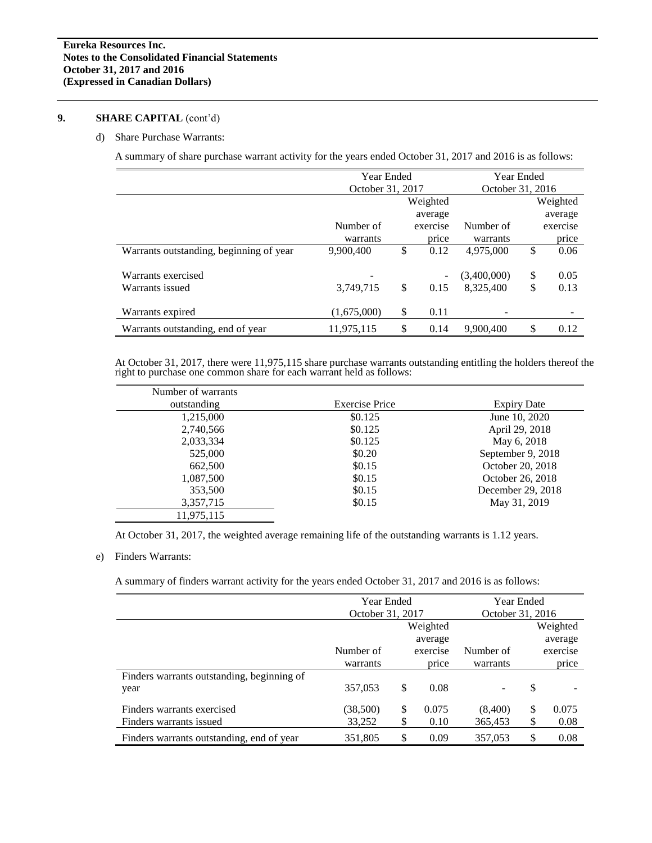# d) Share Purchase Warrants:

A summary of share purchase warrant activity for the years ended October 31, 2017 and 2016 is as follows:

|                                         | Year Ended       |    | Year Ended       |             |          |          |
|-----------------------------------------|------------------|----|------------------|-------------|----------|----------|
|                                         | October 31, 2017 |    | October 31, 2016 |             |          |          |
|                                         |                  |    | Weighted         |             | Weighted |          |
|                                         |                  |    | average          |             |          | average  |
|                                         | Number of        |    | exercise         | Number of   |          | exercise |
|                                         | warrants         |    | price            | warrants    |          | price    |
| Warrants outstanding, beginning of year | 9.900.400        | \$ | 0.12             | 4.975,000   | \$       | 0.06     |
| Warrants exercised                      |                  |    |                  | (3,400,000) | \$       | 0.05     |
| Warrants issued                         | 3,749,715        | \$ | 0.15             | 8,325,400   | \$       | 0.13     |
| Warrants expired                        | (1,675,000)      | \$ | 0.11             |             |          |          |
| Warrants outstanding, end of year       | 11,975,115       | \$ | 0.14             | 9.900.400   | \$       | 0.12     |

At October 31, 2017, there were 11,975,115 share purchase warrants outstanding entitling the holders thereof the right to purchase one common share for each warrant held as follows:

| Number of warrants |                       |                    |
|--------------------|-----------------------|--------------------|
| outstanding        | <b>Exercise Price</b> | <b>Expiry Date</b> |
| 1,215,000          | \$0.125               | June 10, 2020      |
| 2,740,566          | \$0.125               | April 29, 2018     |
| 2,033,334          | \$0.125               | May 6, 2018        |
| 525,000            | \$0.20                | September 9, 2018  |
| 662,500            | \$0.15                | October 20, 2018   |
| 1,087,500          | \$0.15                | October 26, 2018   |
| 353,500            | \$0.15                | December 29, 2018  |
| 3,357,715          | \$0.15                | May 31, 2019       |
| 11,975,115         |                       |                    |

At October 31, 2017, the weighted average remaining life of the outstanding warrants is 1.12 years.

# e) Finders Warrants:

A summary of finders warrant activity for the years ended October 31, 2017 and 2016 is as follows:

|                                            | Year Ended       |          | Year Ended |                  |    |          |
|--------------------------------------------|------------------|----------|------------|------------------|----|----------|
|                                            | October 31, 2017 |          |            | October 31, 2016 |    |          |
|                                            |                  | Weighted |            |                  |    | Weighted |
|                                            |                  |          | average    |                  |    | average  |
|                                            | Number of        | exercise |            | Number of        |    | exercise |
|                                            | warrants         |          | price      | warrants         |    | price    |
| Finders warrants outstanding, beginning of |                  |          |            |                  |    |          |
| year                                       | 357,053          | \$       | 0.08       |                  | \$ |          |
| Finders warrants exercised                 | (38,500)         | \$       | 0.075      | (8,400)          | \$ | 0.075    |
| Finders warrants issued                    | 33,252           | \$       | 0.10       | 365,453          | \$ | 0.08     |
| Finders warrants outstanding, end of year  | 351,805          | \$       | 0.09       | 357,053          | \$ | 0.08     |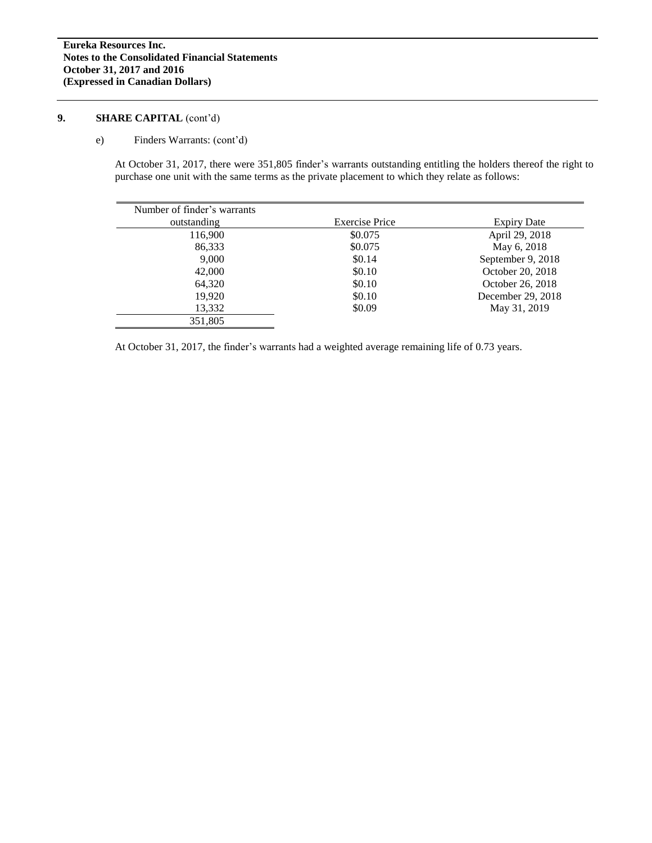# e) Finders Warrants: (cont'd)

At October 31, 2017, there were 351,805 finder's warrants outstanding entitling the holders thereof the right to purchase one unit with the same terms as the private placement to which they relate as follows:

| outstanding | <b>Exercise Price</b> | <b>Expiry Date</b> |
|-------------|-----------------------|--------------------|
| 116,900     | \$0.075               | April 29, 2018     |
| 86,333      | \$0.075               | May 6, 2018        |
| 9.000       | \$0.14                | September 9, 2018  |
| 42,000      | \$0.10                | October 20, 2018   |
| 64.320      | \$0.10                | October 26, 2018   |
| 19.920      | \$0.10                | December 29, 2018  |
| 13,332      | \$0.09                | May 31, 2019       |
| 351,805     |                       |                    |

At October 31, 2017, the finder's warrants had a weighted average remaining life of 0.73 years.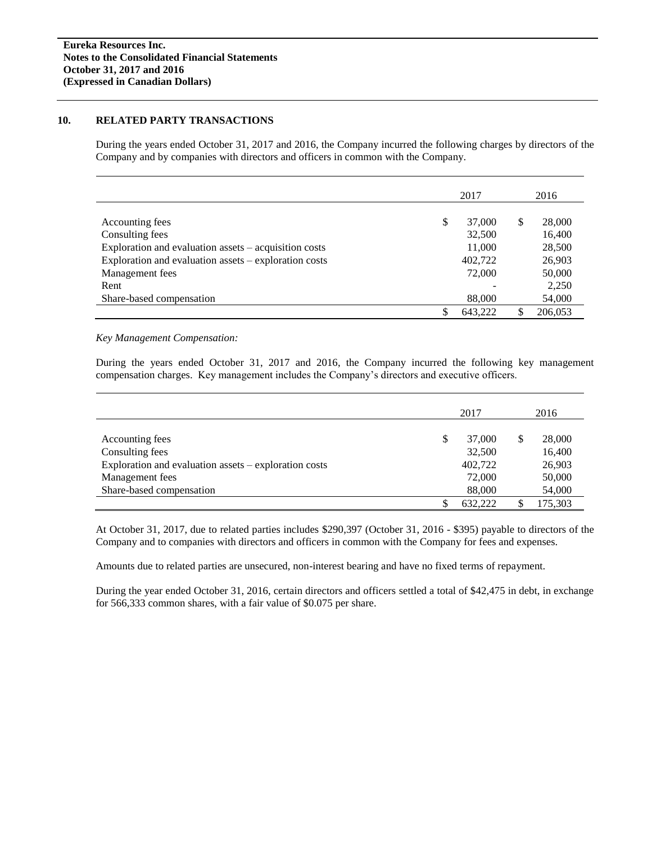# **10. RELATED PARTY TRANSACTIONS**

During the years ended October 31, 2017 and 2016, the Company incurred the following charges by directors of the Company and by companies with directors and officers in common with the Company.

|                                                       | 2017         |   | 2016    |
|-------------------------------------------------------|--------------|---|---------|
|                                                       |              |   |         |
| Accounting fees                                       | \$<br>37,000 | S | 28,000  |
| Consulting fees                                       | 32,500       |   | 16,400  |
| Exploration and evaluation assets – acquisition costs | 11,000       |   | 28,500  |
| Exploration and evaluation assets – exploration costs | 402,722      |   | 26,903  |
| Management fees                                       | 72,000       |   | 50,000  |
| Rent                                                  |              |   | 2,250   |
| Share-based compensation                              | 88,000       |   | 54,000  |
|                                                       | 643.222      |   | 206,053 |

# *Key Management Compensation:*

During the years ended October 31, 2017 and 2016, the Company incurred the following key management compensation charges. Key management includes the Company's directors and executive officers.

|                                                       | 2017    |   | 2016    |
|-------------------------------------------------------|---------|---|---------|
| Accounting fees                                       | 37,000  | S | 28,000  |
| Consulting fees                                       | 32,500  |   | 16,400  |
| Exploration and evaluation assets – exploration costs | 402,722 |   | 26,903  |
| Management fees                                       | 72,000  |   | 50,000  |
| Share-based compensation                              | 88,000  |   | 54,000  |
|                                                       | 632.222 |   | 175,303 |

At October 31, 2017, due to related parties includes \$290,397 (October 31, 2016 - \$395) payable to directors of the Company and to companies with directors and officers in common with the Company for fees and expenses.

Amounts due to related parties are unsecured, non-interest bearing and have no fixed terms of repayment.

During the year ended October 31, 2016, certain directors and officers settled a total of \$42,475 in debt, in exchange for 566,333 common shares, with a fair value of \$0.075 per share.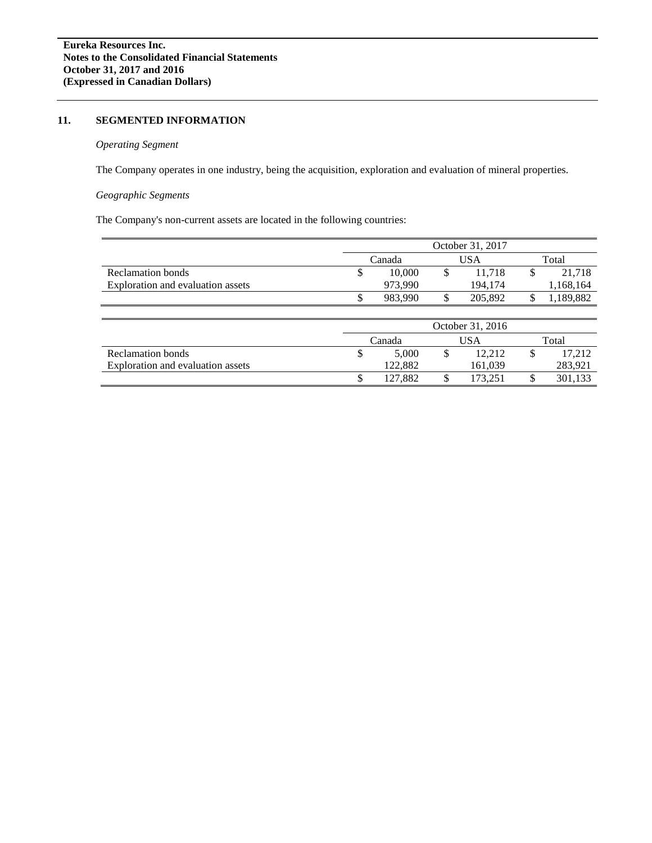# **11. SEGMENTED INFORMATION**

# *Operating Segment*

The Company operates in one industry, being the acquisition, exploration and evaluation of mineral properties.

# *Geographic Segments*

The Company's non-current assets are located in the following countries:

|                                   | October 31, 2017 |               |  |         |       |           |
|-----------------------------------|------------------|---------------|--|---------|-------|-----------|
|                                   |                  | USA<br>Canada |  |         | Total |           |
| <b>Reclamation bonds</b>          |                  | 10,000        |  | 11.718  |       | 21,718    |
| Exploration and evaluation assets |                  | 973,990       |  | 194.174 |       | 1,168,164 |
|                                   |                  | 983.990       |  | 205.892 |       | ,189,882  |

|                                   | October 31, 2016 |         |  |         |  |         |
|-----------------------------------|------------------|---------|--|---------|--|---------|
|                                   | JS A<br>Canada   |         |  | Total   |  |         |
| Reclamation bonds                 |                  | 5,000   |  | 12.212  |  | 17,212  |
| Exploration and evaluation assets |                  | 122.882 |  | 161.039 |  | 283,921 |
|                                   |                  | 127.882 |  | 173.251 |  | 301.133 |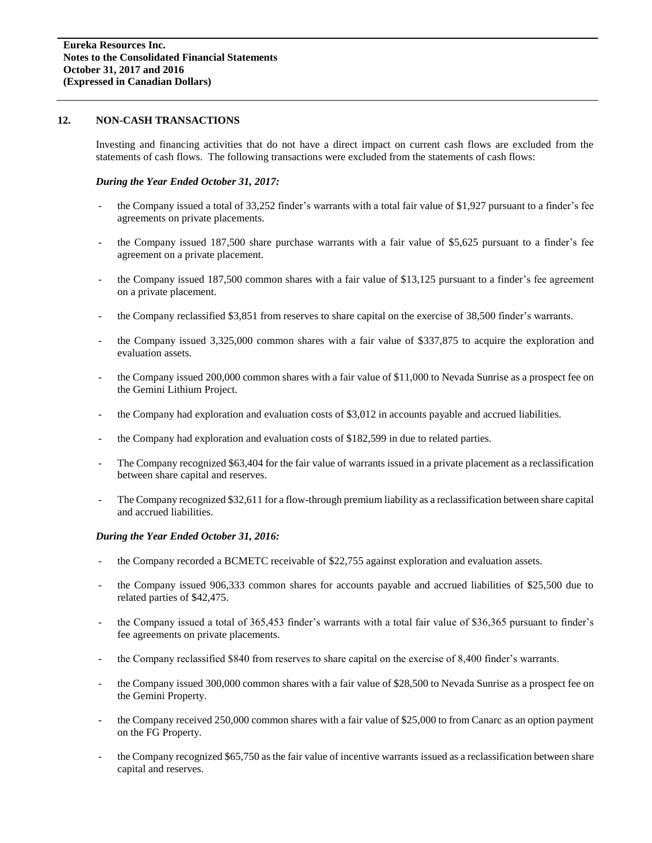# **12. NON-CASH TRANSACTIONS**

Investing and financing activities that do not have a direct impact on current cash flows are excluded from the statements of cash flows. The following transactions were excluded from the statements of cash flows:

# *During the Year Ended October 31, 2017:*

- the Company issued a total of 33,252 finder's warrants with a total fair value of \$1,927 pursuant to a finder's fee agreements on private placements.
- the Company issued 187,500 share purchase warrants with a fair value of \$5,625 pursuant to a finder's fee agreement on a private placement.
- the Company issued 187,500 common shares with a fair value of \$13,125 pursuant to a finder's fee agreement on a private placement.
- the Company reclassified \$3,851 from reserves to share capital on the exercise of 38,500 finder's warrants.
- the Company issued 3,325,000 common shares with a fair value of \$337,875 to acquire the exploration and evaluation assets.
- the Company issued 200,000 common shares with a fair value of \$11,000 to Nevada Sunrise as a prospect fee on the Gemini Lithium Project.
- the Company had exploration and evaluation costs of \$3,012 in accounts payable and accrued liabilities.
- the Company had exploration and evaluation costs of \$182,599 in due to related parties.
- The Company recognized \$63,404 for the fair value of warrants issued in a private placement as a reclassification between share capital and reserves.
- The Company recognized \$32,611 for a flow-through premium liability as a reclassification between share capital and accrued liabilities.

# *During the Year Ended October 31, 2016:*

- the Company recorded a BCMETC receivable of \$22,755 against exploration and evaluation assets.
- the Company issued 906,333 common shares for accounts payable and accrued liabilities of \$25,500 due to related parties of \$42,475.
- the Company issued a total of 365,453 finder's warrants with a total fair value of \$36,365 pursuant to finder's fee agreements on private placements.
- the Company reclassified \$840 from reserves to share capital on the exercise of 8,400 finder's warrants.
- the Company issued 300,000 common shares with a fair value of \$28,500 to Nevada Sunrise as a prospect fee on the Gemini Property.
- the Company received 250,000 common shares with a fair value of \$25,000 to from Canarc as an option payment on the FG Property.
- the Company recognized \$65,750 as the fair value of incentive warrants issued as a reclassification between share capital and reserves.